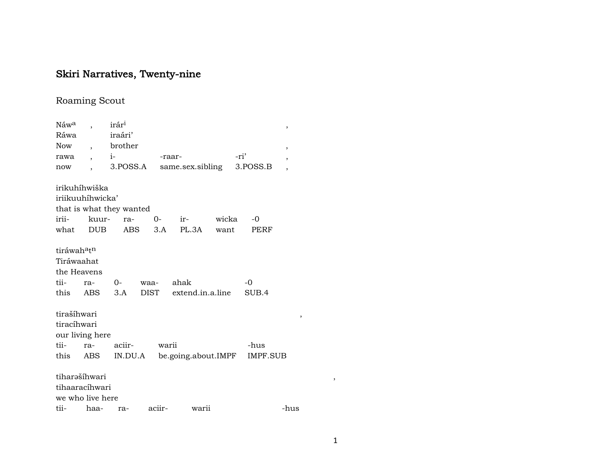## Skiri Narratives, Twenty-nine

## Roaming Scout

| Náw <sup>a</sup>                    |                  | irár <sup>ı</sup>        |              |                           |                              | ,                        |   |
|-------------------------------------|------------------|--------------------------|--------------|---------------------------|------------------------------|--------------------------|---|
| Ráwa                                |                  | iraári'                  |              |                           |                              |                          |   |
| Now                                 | $\overline{ }$ , | brother                  |              |                           |                              | ,                        |   |
| rawa                                |                  | $i$ - $i$                |              | -raar-                    | -ri'                         | $\overline{\phantom{a}}$ |   |
| now                                 |                  | 3.POSS.A                 |              | same.sex.sibling          | 3.POSS.B                     |                          |   |
|                                     | irikuhíhwiška    |                          |              |                           |                              |                          |   |
|                                     | iriikuuhíhwicka' |                          |              |                           |                              |                          |   |
|                                     |                  | that is what they wanted |              |                           |                              |                          |   |
|                                     | irii- kuur-      | ra-                      |              | 0- ir- wicka              | $-0$                         |                          |   |
|                                     | what DUB         | ABS                      |              | 3.A PL.3A want            | PERF                         |                          |   |
| tiráwah <sup>a</sup> t <sup>n</sup> |                  |                          |              |                           |                              |                          |   |
| Tiráwaahat                          |                  |                          |              |                           |                              |                          |   |
| the Heavens                         |                  |                          |              |                           |                              |                          |   |
| tii-                                | ra-              |                          | 0- waa- ahak |                           | $-0$                         |                          |   |
| this                                | ABS              |                          |              | 3.A DIST extend.in.a.line | SUB.4                        |                          |   |
| tirašíhwari                         |                  |                          |              |                           |                              | ,                        |   |
| tiracíhwari                         |                  |                          |              |                           |                              |                          |   |
|                                     | our living here  |                          |              |                           |                              |                          |   |
| tii-                                | ra-              | aciir-                   | warii        |                           | -hus                         |                          |   |
| this                                | ABS              | IN.DU.A                  |              |                           | be.going.about.IMPF IMPF.SUB |                          |   |
|                                     | tiharašíhwari    |                          |              |                           |                              |                          | , |
|                                     | tihaaracíhwari   |                          |              |                           |                              |                          |   |
|                                     | we who live here |                          |              |                           |                              |                          |   |
| tii-                                | haa-             | ra-                      | aciir-       | warii                     |                              | -hus                     |   |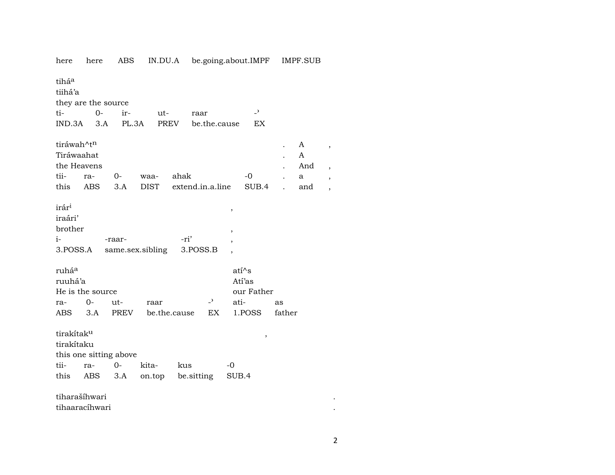| here                   | here                | ABS                    |                  |      |                  |    | IN.DU.A be.going.about.IMPF |                | IMPF.SUB |                          |
|------------------------|---------------------|------------------------|------------------|------|------------------|----|-----------------------------|----------------|----------|--------------------------|
| tiháa                  |                     |                        |                  |      |                  |    |                             |                |          |                          |
| tiihá'a                |                     |                        |                  |      |                  |    |                             |                |          |                          |
|                        | they are the source |                        |                  |      |                  |    |                             |                |          |                          |
| ti-                    | $0 -$               | ir-                    | ut-              |      | raar             |    | $\overline{a}$              |                |          |                          |
|                        | $IND.3A$ $3.A$      |                        | PL.3A            | PREV | be.the.cause     |    | EX                          |                |          |                          |
| tiráwah^t <sup>n</sup> |                     |                        |                  |      |                  |    |                             |                | A        |                          |
| Tiráwaahat             |                     |                        |                  |      |                  |    |                             |                | A        | $\, ,$                   |
|                        | the Heavens         |                        |                  |      |                  |    |                             |                | And      |                          |
| tii-                   | ra-                 | $0-$                   | waa-             | ahak |                  |    | -0                          |                | a        | $\overline{\phantom{a}}$ |
| this                   | <b>ABS</b>          | 3.A                    | <b>DIST</b>      |      | extend.in.a.line |    | SUB.4                       | $\overline{a}$ | and      |                          |
|                        |                     |                        |                  |      |                  |    |                             |                |          |                          |
| irár <sup>i</sup>      |                     |                        |                  |      |                  |    | $\,$                        |                |          |                          |
| iraári'                |                     |                        |                  |      |                  |    |                             |                |          |                          |
| brother                |                     |                        |                  |      |                  |    | $\overline{\phantom{a}}$    |                |          |                          |
| $i-$                   |                     | -raar-                 |                  | -ri' |                  |    |                             |                |          |                          |
|                        | 3.POSS.A            |                        | same.sex.sibling |      | 3.POSS.B         |    |                             |                |          |                          |
|                        |                     |                        |                  |      |                  |    |                             |                |          |                          |
| ruháa                  |                     |                        |                  |      |                  |    | ati^s                       |                |          |                          |
| ruuhá'a                |                     |                        |                  |      |                  |    | Atí'as                      |                |          |                          |
|                        | He is the source    |                        |                  |      |                  |    | our Father                  |                |          |                          |
| ra-                    | 0-                  | ut-                    | raar             |      | $\overline{a}$   |    | ati-                        | as             |          |                          |
| ABS                    | 3.A                 | PREV                   | be.the.cause     |      | EX.              |    | 1.POSS                      | father         |          |                          |
| tirakítak <sup>u</sup> |                     |                        |                  |      |                  |    | $\,$                        |                |          |                          |
| tirakítaku             |                     |                        |                  |      |                  |    |                             |                |          |                          |
|                        |                     | this one sitting above |                  |      |                  |    |                             |                |          |                          |
| tii-                   | ra-                 | $O -$                  | kita-            | kus  |                  | -0 |                             |                |          |                          |
| this                   | ABS                 | 3.A                    | on.top           |      | be.sitting       |    | SUB.4                       |                |          |                          |
|                        | tiharašíhwari       |                        |                  |      |                  |    |                             |                |          |                          |
|                        | tihaaracíhwari      |                        |                  |      |                  |    |                             |                |          |                          |
|                        |                     |                        |                  |      |                  |    |                             |                |          |                          |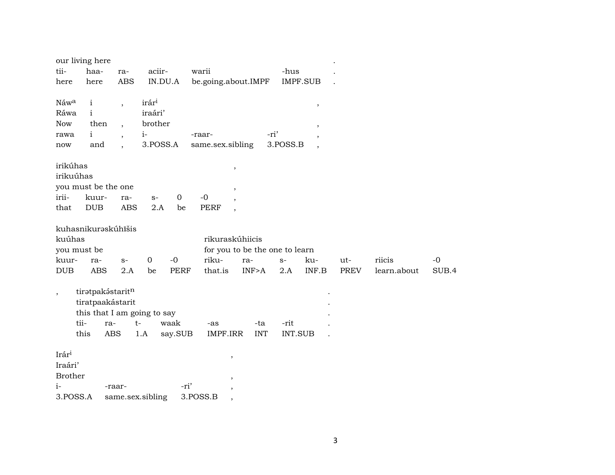|                                                        | our living here             |                          |                   |             |                            |                                       |                |                          |             |             |       |
|--------------------------------------------------------|-----------------------------|--------------------------|-------------------|-------------|----------------------------|---------------------------------------|----------------|--------------------------|-------------|-------------|-------|
| tii-                                                   | haa-                        | ra-                      | aciir-            |             | warii                      |                                       | -hus           |                          |             |             |       |
| here                                                   | here                        | <b>ABS</b>               | IN.DU.A           |             | be.going.about.IMPF        |                                       |                | <b>IMPF.SUB</b>          |             |             |       |
|                                                        |                             |                          |                   |             |                            |                                       |                |                          |             |             |       |
| Náwa                                                   | $\mathbf{i}$                | $\overline{\phantom{a}}$ | irár <sup>i</sup> |             |                            |                                       |                | $^\mathrm{^\mathrm{o}}$  |             |             |       |
| Ráwa                                                   | $\mathbf{i}$                |                          | iraári'           |             |                            |                                       |                |                          |             |             |       |
| Now                                                    | then                        | $\cdot$                  | brother           |             |                            | -ri'                                  |                | $\,$                     |             |             |       |
| rawa                                                   | $\mathbf{i}$<br>and         | $\cdot$                  | $i-$<br>3.POSS.A  |             | -raar-<br>same.sex.sibling |                                       | 3.POSS.B       | $\overline{\phantom{a}}$ |             |             |       |
| now                                                    |                             | $\cdot$                  |                   |             |                            |                                       |                | $\overline{\phantom{a}}$ |             |             |       |
| irikúhas                                               |                             |                          |                   |             | $\,$                       |                                       |                |                          |             |             |       |
| irikuúhas                                              |                             |                          |                   |             |                            |                                       |                |                          |             |             |       |
|                                                        | you must be the one         |                          |                   |             |                            |                                       |                |                          |             |             |       |
| irii-                                                  | kuur-                       | ra-                      | $S-$              | $\mathbf 0$ | $-0$                       |                                       |                |                          |             |             |       |
| that                                                   | <b>DUB</b>                  | <b>ABS</b>               | 2.A               | be          | <b>PERF</b><br>$\cdot$     |                                       |                |                          |             |             |       |
|                                                        |                             |                          |                   |             |                            |                                       |                |                          |             |             |       |
|                                                        | kuhasnikuraskúhīšis         |                          |                   |             |                            |                                       |                |                          |             |             |       |
| kuúhas                                                 |                             |                          |                   |             | rikuraskúhiicis            |                                       |                |                          |             |             |       |
| you must be<br>kuur-                                   | ra-                         | $S-$                     | 0                 | $-0$        | riku-                      | for you to be the one to learn<br>ra- | $S-$           | ku-                      | ut-         | riicis      | $-0$  |
| DUB                                                    | <b>ABS</b>                  | 2.A                      | be                | <b>PERF</b> | that.is                    | INF>A                                 | 2.A            | INF.B                    | <b>PREV</b> | learn.about | SUB.4 |
|                                                        |                             |                          |                   |             |                            |                                       |                |                          |             |             |       |
| $\overline{\phantom{a}}$                               | tiratpakástaritn            |                          |                   |             |                            |                                       |                |                          |             |             |       |
|                                                        | tiratpaakástarit            |                          |                   |             |                            |                                       |                |                          |             |             |       |
|                                                        | this that I am going to say |                          |                   |             |                            |                                       |                |                          |             |             |       |
| tii-                                                   | ra-                         | $t-$                     |                   | waak        | -as                        | -ta                                   | -rit           |                          |             |             |       |
|                                                        | this<br><b>ABS</b>          |                          | 1.A               | say.SUB     | IMPF.IRR                   | <b>INT</b>                            | <b>INT.SUB</b> |                          |             |             |       |
|                                                        |                             |                          |                   |             |                            |                                       |                |                          |             |             |       |
|                                                        |                             |                          |                   |             | $\overline{\phantom{a}}$   |                                       |                |                          |             |             |       |
|                                                        |                             |                          |                   |             |                            |                                       |                |                          |             |             |       |
|                                                        |                             |                          |                   |             |                            |                                       |                |                          |             |             |       |
|                                                        |                             |                          |                   |             |                            |                                       |                |                          |             |             |       |
| Irári<br>Iraári'<br><b>Brother</b><br>$i-$<br>3.POSS.A |                             | -raar-                   | same.sex.sibling  | -ri'        | 3.POSS.B                   |                                       |                |                          |             |             |       |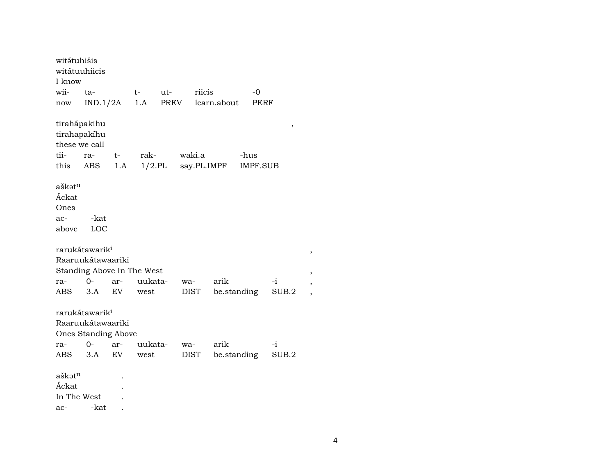| witátuhišis<br>witátuuhiicis                      |                                                 |      |         |      |        |        |                    |      |          |   |
|---------------------------------------------------|-------------------------------------------------|------|---------|------|--------|--------|--------------------|------|----------|---|
| I know                                            |                                                 |      |         |      |        |        |                    |      |          |   |
| wii-                                              | ta-                                             |      | $t-$    | ut-  |        | riicis |                    | $-0$ |          |   |
| now                                               | IND.1/2A                                        |      | 1.A     | PREV |        |        | learn.about        |      | PERF     |   |
| tirahápakihu<br>tirahapakíhu<br>these we call     |                                                 |      |         |      |        |        |                    |      | ,        |   |
| tii-                                              | ra-                                             | $t-$ | rak-    |      | waki.a |        |                    | -hus |          |   |
| this ABS                                          |                                                 | 1.A  |         |      |        |        | 1/2.PL say.PL.IMPF |      | IMPF.SUB |   |
| aškat <sup>n</sup><br>Áckat<br>Ones               |                                                 |      |         |      |        |        |                    |      |          |   |
| ac-                                               | -kat                                            |      |         |      |        |        |                    |      |          |   |
| above                                             | LOC                                             |      |         |      |        |        |                    |      |          |   |
| rarukátawarik <sup>i</sup><br>Raaruukátawaariki   | Standing Above In The West                      |      |         |      |        |        |                    |      |          | , |
| ra-                                               | $0-$                                            | ar-  | uukata- |      | wa-    |        | arik               |      | $-i$     |   |
| ABS                                               | 3.A                                             | EV   | west    |      | DIST   |        | be.standing        |      | SUB.2    |   |
| rarukátawarik <sup>i</sup>                        | Raaruukátawaariki<br><b>Ones Standing Above</b> |      |         |      |        |        |                    |      |          |   |
| ra-                                               | $0-$                                            | ar-  | uukata- |      | wa-    |        | arik               |      | $-i$     |   |
| <b>ABS</b>                                        | 3.A                                             | EV   | west    |      | DIST   |        | be.standing        |      | SUB.2    |   |
| aškət <sup>n</sup><br>Áckat<br>In The West<br>ac- | -kat                                            |      |         |      |        |        |                    |      |          |   |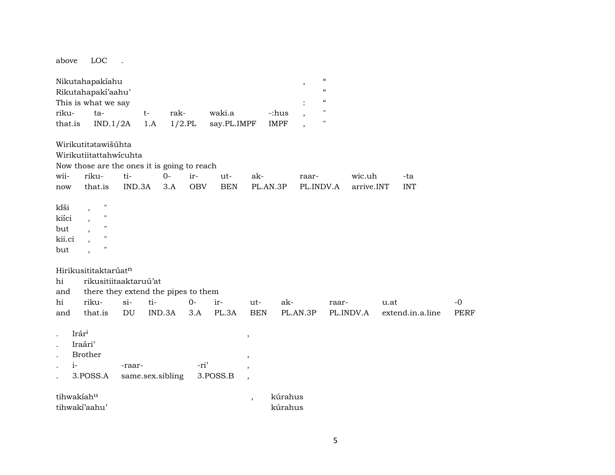above LOC .

|                      | Nikutahapakiahu<br>Rikutahapakí'aahu'<br>This is what we say |        |      |                  |            |             |                                                      |             | $\overline{\phantom{a}}$ | $\pmb{\zeta}\pmb{\zeta}$<br>$\boldsymbol{\zeta}\boldsymbol{\zeta}$<br>$\boldsymbol{\zeta}\boldsymbol{\zeta}$ |            |      |                  |             |
|----------------------|--------------------------------------------------------------|--------|------|------------------|------------|-------------|------------------------------------------------------|-------------|--------------------------|--------------------------------------------------------------------------------------------------------------|------------|------|------------------|-------------|
| riku-                | ta-                                                          |        | $t-$ | rak-             |            | waki.a      |                                                      | -:hus       | $\overline{\phantom{a}}$ | "                                                                                                            |            |      |                  |             |
| that.is              | IND.1/2A                                                     |        | 1.A  | $1/2$ .PL        |            | say.PL.IMPF |                                                      | <b>IMPF</b> | $\overline{\phantom{a}}$ | "                                                                                                            |            |      |                  |             |
|                      | Wirikutitatawišúhta                                          |        |      |                  |            |             |                                                      |             |                          |                                                                                                              |            |      |                  |             |
|                      | Wirikutiitattahwicuhta                                       |        |      |                  |            |             |                                                      |             |                          |                                                                                                              |            |      |                  |             |
|                      | Now those are the ones it is going to reach                  |        |      |                  |            |             |                                                      |             |                          |                                                                                                              |            |      |                  |             |
| wii-                 | riku-                                                        | ti-    |      | $0-$             | ir-        | ut-         | ak-                                                  |             | raar-                    |                                                                                                              | wic.uh     |      | -ta              |             |
| now                  | that.is                                                      | IND.3A |      | 3.A              | <b>OBV</b> | <b>BEN</b>  |                                                      | PL.AN.3P    |                          | PL.INDV.A                                                                                                    | arrive.INT |      | <b>INT</b>       |             |
| kîši                 | н<br>$\cdot$                                                 |        |      |                  |            |             |                                                      |             |                          |                                                                                                              |            |      |                  |             |
| kiíci                | "<br>$\overline{\phantom{a}}$                                |        |      |                  |            |             |                                                      |             |                          |                                                                                                              |            |      |                  |             |
| but                  | н                                                            |        |      |                  |            |             |                                                      |             |                          |                                                                                                              |            |      |                  |             |
| kii.ci               | "                                                            |        |      |                  |            |             |                                                      |             |                          |                                                                                                              |            |      |                  |             |
| but                  | $\blacksquare$                                               |        |      |                  |            |             |                                                      |             |                          |                                                                                                              |            |      |                  |             |
|                      | Hirikusititaktarúatn                                         |        |      |                  |            |             |                                                      |             |                          |                                                                                                              |            |      |                  |             |
| hi                   | rikusitiitaaktaruú'at                                        |        |      |                  |            |             |                                                      |             |                          |                                                                                                              |            |      |                  |             |
| and                  | there they extend the pipes to them                          |        |      |                  |            |             |                                                      |             |                          |                                                                                                              |            |      |                  |             |
| hi                   | riku-                                                        | $si-$  | ti-  |                  | $0-$       | ir-         | ut-                                                  |             | ak-                      | raar-                                                                                                        |            | u.at |                  | $-0$        |
| and                  | that.is                                                      | DU     |      | IND.3A           | 3.A        | PL.3A       | <b>BEN</b>                                           |             | PL.AN.3P                 |                                                                                                              | PL.INDV.A  |      | extend.in.a.line | <b>PERF</b> |
|                      | Irári                                                        |        |      |                  |            |             |                                                      |             |                          |                                                                                                              |            |      |                  |             |
|                      | Iraári'                                                      |        |      |                  |            |             | ,                                                    |             |                          |                                                                                                              |            |      |                  |             |
| $\ddot{\phantom{0}}$ | <b>Brother</b>                                               |        |      |                  |            |             |                                                      |             |                          |                                                                                                              |            |      |                  |             |
| $i-$                 |                                                              | -raar- |      |                  | -ri'       |             | $\,$                                                 |             |                          |                                                                                                              |            |      |                  |             |
| $\ddot{\phantom{0}}$ | 3.POSS.A                                                     |        |      | same.sex.sibling |            | 3.POSS.B    | $\overline{\phantom{a}}$<br>$\overline{\phantom{a}}$ |             |                          |                                                                                                              |            |      |                  |             |
| tihwakiahu           |                                                              |        |      |                  |            |             | $\overline{\phantom{a}}$                             |             | kúrahus                  |                                                                                                              |            |      |                  |             |
|                      | tihwakí'aahu'                                                |        |      |                  |            |             |                                                      |             | kúrahus                  |                                                                                                              |            |      |                  |             |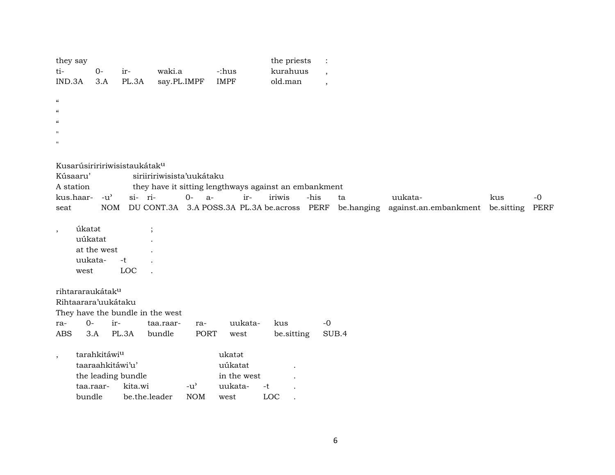| they say<br>ti-<br>IND.3A                            | $0-$<br>3.A                                                         |            | ir-<br>PL.3A                                   | waki.a<br>say.PL.IMPF |                             | -:hus<br><b>IMPF</b>                                |         | the priests<br>kurahuus<br>old.man                    |              | $\overline{\phantom{a}}$<br>$\cdot$ |                                             |     |                     |
|------------------------------------------------------|---------------------------------------------------------------------|------------|------------------------------------------------|-----------------------|-----------------------------|-----------------------------------------------------|---------|-------------------------------------------------------|--------------|-------------------------------------|---------------------------------------------|-----|---------------------|
| $\mathcal{C}$<br>$\alpha$<br>$\alpha$<br>$^{\prime}$ |                                                                     |            |                                                |                       |                             |                                                     |         |                                                       |              |                                     |                                             |     |                     |
| Kúsaaru'<br>A station                                |                                                                     |            | Kusarúsiriririwisistaukátak <sup>u</sup>       |                       | siriiririwisista'uukátaku   |                                                     |         | they have it sitting lengthways against an embankment |              |                                     |                                             |     |                     |
| seat                                                 | kus.haar- -u'                                                       | <b>NOM</b> | si- ri-                                        |                       | $O -$<br>$a-$               |                                                     | ir-     | iriwis<br>DU CONT.3A 3.A POSS.3A PL.3A be.across      | -his<br>PERF | ta<br>be.hanging                    | uukata-<br>against.an.embankment be.sitting | kus | $-0$<br><b>PERF</b> |
| $\,$                                                 | úkatot<br>uúkatat<br>at the west<br>uukata-<br>west                 |            | $\cdot$<br>-t<br>LOC                           |                       |                             |                                                     |         |                                                       |              |                                     |                                             |     |                     |
| ra-<br><b>ABS</b>                                    | rihtararaukátak <sup>u</sup><br>Rihtaarara'uukátaku<br>$O -$<br>3.A | ir-        | They have the bundle in the west<br>PL.3A      | taa.raar-<br>bundle   | ra-<br><b>PORT</b>          | west                                                | uukata- | kus<br>be.sitting                                     |              | $-0$<br>SUB.4                       |                                             |     |                     |
| $\overline{\phantom{a}}$                             | tarahkitáwiu<br>taaraahkitáwi'u'<br>taa.raar-<br>bundle             |            | the leading bundle<br>kita.wi<br>be.the.leader |                       | $-u^{\prime}$<br><b>NOM</b> | ukatat<br>uúkatat<br>in the west<br>uukata-<br>west | $-t$    | LOC                                                   |              |                                     |                                             |     |                     |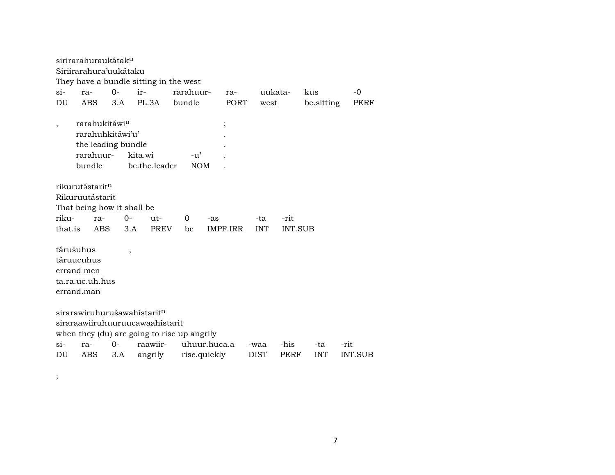sirirarahuraukátak<sup>u</sup> Siriirarahura'uukátaku They have a bundle sitting in the west  $O$ ir- $-0$  $\sin$ rarahuuruukatararakus **PERF DU ABS**  $3.A$ PL.3A bundle PORT west be.sitting rarahukitáwi<sup>u</sup>  $\cdot$  $\overline{\phantom{a}}$ rarahuhkitáwi'u'  $\overline{a}$ the leading bundle  $\overline{a}$ rarahuur- $-u^{\prime}$ kita.wi bundle be.the.leader **NOM** rikurutástarit<sup>n</sup> Rikuruutástarit That being how it shall be rikura- $O$ ut- $\overline{O}$ -ta -rit -as that.is **ABS PREV**  $3.A$ be IMPF.IRR **INT** INT.SUB tárušuhus  $\overline{\phantom{a}}$ táruucuhus errand men ta.ra.uc.uh.hus errand.man  $s$ irarawiruhurušawahistarit<sup>n</sup> siraraawiiruhuuruucawaahistarit when they (du) are going to rise up angrily uhuur.huca.a  $si O$ raawiir--his ra--waa -ta -rit **DU** ABS  $3.A$ angrily rise.quickly **DIST** PERF **INT** INT.SUB

 $\vdots$ 

 $\overline{7}$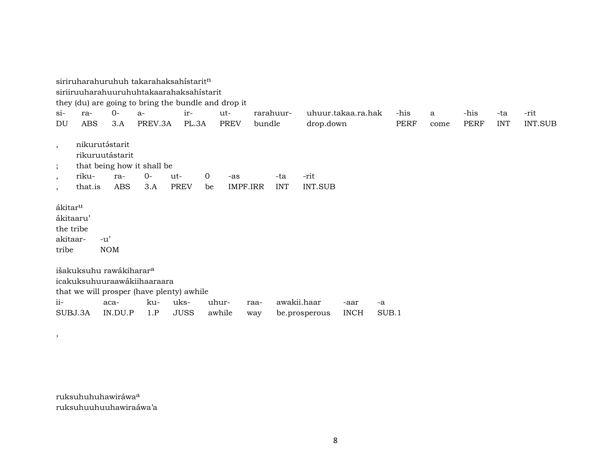siriruharahuruhuh takarahaksahístarit $n$ siriiruuharahuuruhuhtakaarahaksahístarit they (du) are going to bring the bundle and drop it si- ra- 0- a- ir- ut- rarahuur- uhuur.takaa.ra.hak -his a -his -ta -rit DU ABS 3.A PREV.3A PL.3A PREV bundle drop.down PERF come PERF INT INT.SUB , nikurutástarit rikuruutástarit that being how it shall be , riku- ra- 0- ut- 0 -as -ta -rit , that.is ABS 3.A PREV be IMPF.IRR INT INT.SUB ákitarµ ákitaaru' the tribe akitaar- -u' tribe NOM išakuksuhu rawákiharar<sup>a</sup> icakuksuhuuraawákiihaaraara that we will prosper (have plenty) awhile ii- aca- ku- uks- uhur- raa- awakii.haar -aar -a SUBJ.3A IN.DU.P 1.P JUSS awhile way be.prosperous INCH SUB.1

ruksuhuhuhawiráwa<sup>a</sup> ruksuhuuhuuhawiraáwa'a

,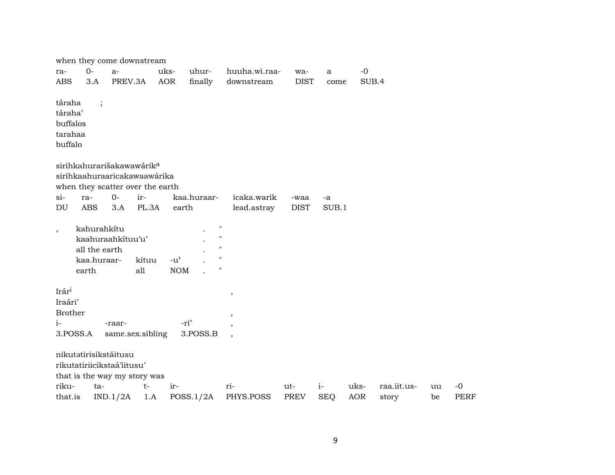|                                                      |                                                      | when they come downstream                                                                                 |              |                                                   |                                                                    |                             |                     |                    |                    |                      |          |                     |
|------------------------------------------------------|------------------------------------------------------|-----------------------------------------------------------------------------------------------------------|--------------|---------------------------------------------------|--------------------------------------------------------------------|-----------------------------|---------------------|--------------------|--------------------|----------------------|----------|---------------------|
| ra-<br><b>ABS</b>                                    | $0-$<br>3.A                                          | $a-$<br>PREV.3A                                                                                           |              | uks-<br><b>AOR</b>                                | uhur-<br>finally                                                   | huuha.wi.raa-<br>downstream | wa-<br><b>DIST</b>  | a<br>come          | $-0$<br>SUB.4      |                      |          |                     |
| táraha<br>táraha'<br>buffalos<br>tarahaa<br>buffalo  |                                                      |                                                                                                           |              |                                                   |                                                                    |                             |                     |                    |                    |                      |          |                     |
|                                                      |                                                      | sirihkahurarišakawawárik <sup>a</sup><br>sirihkaahuraaricakawaawárika<br>when they scatter over the earth |              |                                                   |                                                                    |                             |                     |                    |                    |                      |          |                     |
| si-<br>DU                                            | ra-<br><b>ABS</b>                                    | $0-$<br>3.A                                                                                               | ir-<br>PL.3A | earth                                             | kaa.huraar-                                                        | icaka.warik<br>lead.astray  | -waa<br><b>DIST</b> | -a<br>SUB.1        |                    |                      |          |                     |
| $\overline{\phantom{a}}$                             | kahurahkítu<br>all the earth<br>kaa.huraar-<br>earth | kaahuraahkituu'u'                                                                                         | kituu<br>all | $-u$ <sup><math>\prime</math></sup><br><b>NOM</b> | $\pmb{\mathsf{H}}$<br>$\mathbf{H}$<br>$\bar{\mathbf{H}}$<br>п<br>н |                             |                     |                    |                    |                      |          |                     |
| Irár <sup>i</sup><br>Iraári'<br><b>Brother</b><br>i- | 3.POSS.A                                             | -raar-<br>same.sex.sibling                                                                                |              | -ri'                                              | 3.POSS.B                                                           | $\, ,$                      |                     |                    |                    |                      |          |                     |
|                                                      |                                                      | nikutatirisikstáitusu<br>rikutatiriicikstaá'iitusu'<br>that is the way my story was                       |              |                                                   |                                                                    |                             |                     |                    |                    |                      |          |                     |
| riku-<br>that.is                                     | ta-                                                  | IND.1/2A                                                                                                  | $t-$<br>1.A  | ir-                                               | POSS.1/2A                                                          | ri-<br>PHYS.POSS            | ut-<br><b>PREV</b>  | $i-$<br><b>SEQ</b> | uks-<br><b>AOR</b> | raa.iit.us-<br>story | uu<br>be | $-0$<br><b>PERF</b> |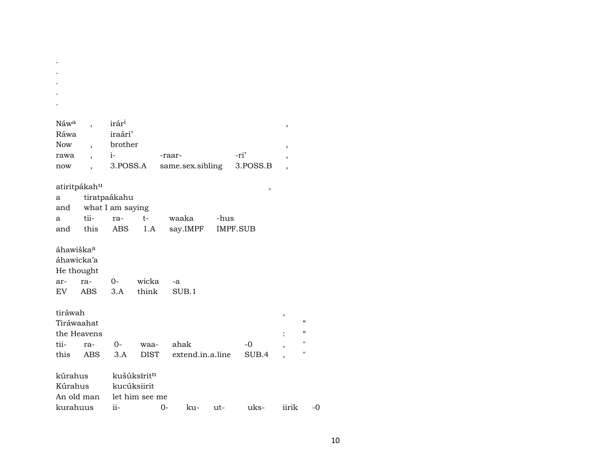| Náw <sup>a</sup>         |                          | irár <sup>i</sup>        |                           |                  |      |                 | $\, ,$                   |               |
|--------------------------|--------------------------|--------------------------|---------------------------|------------------|------|-----------------|--------------------------|---------------|
| Ráwa                     |                          | iraári'                  |                           |                  |      |                 |                          |               |
| Now                      | $\overline{\phantom{a}}$ | brother                  |                           |                  |      |                 | ,                        |               |
| rawa                     |                          | $i-$                     |                           | -raar-           |      | -ri'            | $\, ,$                   |               |
| now                      |                          | 3.POSS.A                 |                           | same.sex.sibling |      | 3.POSS.B        | $\overline{\phantom{a}}$ |               |
|                          |                          |                          |                           |                  |      |                 |                          |               |
| atiritpákah <sup>u</sup> |                          |                          |                           |                  |      | $\,$            |                          |               |
| a                        |                          | tiratpaákahu             |                           |                  |      |                 |                          |               |
|                          |                          | and what I am saying     |                           |                  |      |                 |                          |               |
| a                        | tii-                     | ra-                      | $t-$                      | waaka            | -hus |                 |                          |               |
|                          | and this                 | ABS                      | 1.A                       | say.IMPF         |      | <b>IMPF.SUB</b> |                          |               |
|                          |                          |                          |                           |                  |      |                 |                          |               |
| áhawiška <sup>a</sup>    |                          |                          |                           |                  |      |                 |                          |               |
| áhawicka'a               |                          |                          |                           |                  |      |                 |                          |               |
| He thought               |                          |                          |                           |                  |      |                 |                          |               |
| ar-                      | ra-                      |                          | 0- wicka                  | -a               |      |                 |                          |               |
| EV                       | ABS                      | 3.A                      | think                     | SUB.1            |      |                 |                          |               |
|                          |                          |                          |                           |                  |      |                 |                          |               |
| tiráwah                  |                          |                          |                           |                  |      |                 | ,                        |               |
| Tiráwaahat               |                          |                          |                           |                  |      |                 |                          | $\epsilon$    |
| the Heavens              |                          |                          |                           |                  |      |                 |                          | $\mathcal{C}$ |
| tii-                     | ra-                      | $0-$                     | waa-                      | ahak             |      | $-0$            | ,                        | Ħ             |
| this                     | ABS                      | 3.A                      | DIST                      | extend.in.a.line |      | SUB.4           |                          | 11            |
|                          |                          |                          |                           |                  |      |                 |                          |               |
| kúrahus                  |                          |                          | kušúksīritn               |                  |      |                 |                          |               |
| Kúrahus                  |                          | kucúksiirit              |                           |                  |      |                 |                          |               |
|                          |                          |                          | An old man let him see me |                  |      |                 |                          |               |
| kurahuus                 |                          | $\overline{\mathbf{ii}}$ | $\sim$ 0-                 | ku-              | ut-  | uks-            | iirik                    |               |

 $\langle \cdot \rangle$  $\langle \cdot \rangle$ 

 $-0$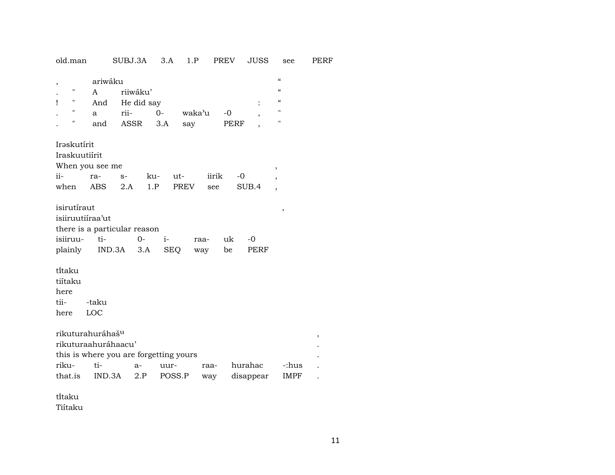| old.man                                                                        | SUBJ.3A                                                         | 3.A<br>1.P                    | <b>PREV</b>             | JUSS                                                     | see                                                                                | PERF |
|--------------------------------------------------------------------------------|-----------------------------------------------------------------|-------------------------------|-------------------------|----------------------------------------------------------|------------------------------------------------------------------------------------|------|
| ,<br>п<br>A<br>11<br>Ţ<br>And<br>н<br>a<br>Н<br>and                            | ariwáku<br>riiwáku'<br>He did say<br>rii-<br>ASSR               | $0 -$<br>waka'u<br>3.A<br>say | $-0$<br><b>PERF</b>     | ,                                                        | $\epsilon\epsilon$<br>$\epsilon\epsilon$<br>$\epsilon$<br>$\pmb{\mathsf{H}}$<br>11 |      |
| Iraskutírit<br>Iraskuutiírit<br>When you see me<br>ii-<br>ra-<br>ABS<br>when   | ku-<br>$S-$<br>1.P<br>2.A                                       | ut-<br>PREV                   | iirik<br>-0<br>see      | ,<br>$\overline{\phantom{a}}$<br>SUB.4<br>$\overline{ }$ |                                                                                    |      |
| isirutíraut<br>isiiruutiíraa'ut<br>isiiruu-<br>ti-<br>plainly                  | there is a particular reason<br>$0 -$<br>$IND.3A$ $3.A$         | $i-$<br><b>SEQ</b>            | uk<br>raa-<br>be<br>way | $-0$<br>PERF                                             | ,                                                                                  |      |
| ti̇̃taku<br>tiítaku<br>here<br>tii-<br>-taku<br>LOC<br>here                    |                                                                 |                               |                         |                                                          |                                                                                    |      |
| rikuturahuráhaš <sup>u</sup><br>rikuturaahuráhaacu'<br>riku-<br>ti-<br>that.is | this is where you are forgetting yours<br>$a-$<br>IND.3A<br>2.P | uur-<br>POSS.P                | raa-<br>way             | hurahac<br>disappear                                     | -:hus<br><b>IMPF</b>                                                               | ,    |

tïtaku Tiítaku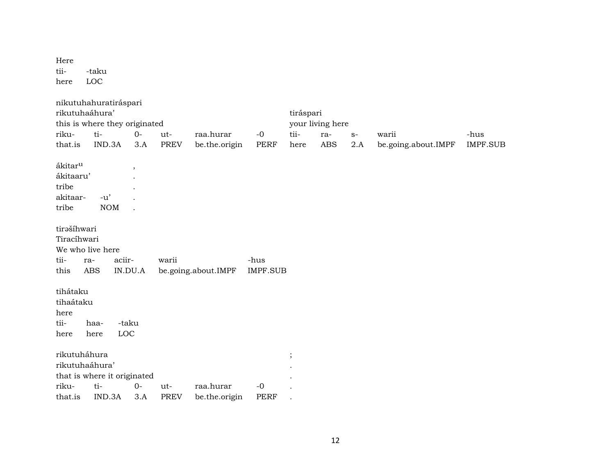Here tii- -taku here LOC

| nikutuhahuratiráspari<br>rikutuhaáhura'<br>this is where they originated |              |              |                          |             |                     |                 | tiráspari | your living here |      |                     |                 |
|--------------------------------------------------------------------------|--------------|--------------|--------------------------|-------------|---------------------|-----------------|-----------|------------------|------|---------------------|-----------------|
| riku-                                                                    | ti-          |              | $0-$                     | ut-         | raa.hurar           | $-0$            | tii-      | ra-              | $S-$ | warii               | -hus            |
| that.is                                                                  | IND.3A       |              | 3.A                      | <b>PREV</b> | be.the.origin       | <b>PERF</b>     | here      | <b>ABS</b>       | 2.A  | be.going.about.IMPF | <b>IMPF.SUB</b> |
| ákitar <sup>u</sup>                                                      |              |              |                          |             |                     |                 |           |                  |      |                     |                 |
| ákitaaru'                                                                |              |              | $\overline{\phantom{a}}$ |             |                     |                 |           |                  |      |                     |                 |
|                                                                          |              |              |                          |             |                     |                 |           |                  |      |                     |                 |
| tribe                                                                    |              |              |                          |             |                     |                 |           |                  |      |                     |                 |
| akitaar-                                                                 | $-u'$        |              |                          |             |                     |                 |           |                  |      |                     |                 |
| tribe                                                                    |              | <b>NOM</b>   |                          |             |                     |                 |           |                  |      |                     |                 |
| tirašíhwari<br>Tiracíhwari<br>We who live here                           |              |              |                          |             |                     |                 |           |                  |      |                     |                 |
| tii-                                                                     | ra-          | aciir-       |                          | warii       |                     | -hus            |           |                  |      |                     |                 |
| this                                                                     | ABS          | IN.DU.A      |                          |             | be.going.about.IMPF | <b>IMPF.SUB</b> |           |                  |      |                     |                 |
| tihátaku<br>tihaátaku<br>here<br>tii-<br>here                            | haa-<br>here | -taku<br>LOC |                          |             |                     |                 |           |                  |      |                     |                 |
| rikutuháhura<br>rikutuhaáhura'<br>that is where it originated            |              |              |                          |             |                     |                 | $\vdots$  |                  |      |                     |                 |
| riku-                                                                    | ti-          |              | $0-$                     | ut-         | raa.hurar           | $-0$            |           |                  |      |                     |                 |
| that.is                                                                  | IND.3A       |              | 3.A                      | <b>PREV</b> | be.the.origin       | <b>PERF</b>     |           |                  |      |                     |                 |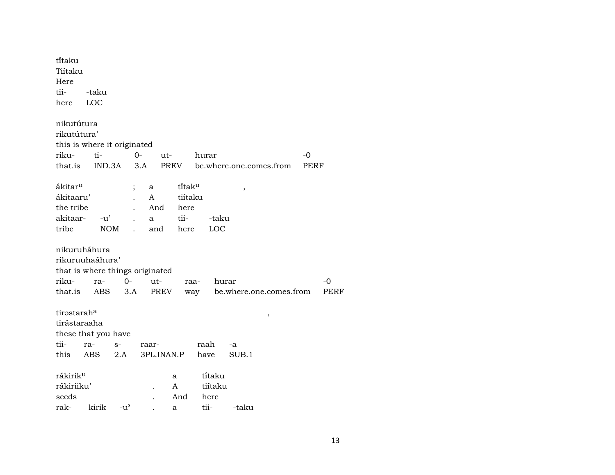| ti̇̃taku                        |            |                |       |            |         |         |                         |      |  |
|---------------------------------|------------|----------------|-------|------------|---------|---------|-------------------------|------|--|
| Tiítaku                         |            |                |       |            |         |         |                         |      |  |
| Here                            |            |                |       |            |         |         |                         |      |  |
| tii-                            | -taku      |                |       |            |         |         |                         |      |  |
| here                            | LOC        |                |       |            |         |         |                         |      |  |
|                                 |            |                |       |            |         |         |                         |      |  |
| nikutútura                      |            |                |       |            |         |         |                         |      |  |
| rikutútura'                     |            |                |       |            |         |         |                         |      |  |
| this is where it originated     |            |                |       |            |         |         |                         |      |  |
| riku-                           | ti-        |                | 0-    | ut-        |         | hurar   |                         | -0   |  |
| that.is                         | IND.3A     |                | 3.A   | PREV       |         |         | be.where.one.comes.from | PERF |  |
|                                 |            |                |       |            |         |         |                         |      |  |
| ákitar <sup>u</sup>             |            |                | a     |            | titaku  |         | ,                       |      |  |
| ákitaaru'                       |            |                | A     |            | tiítaku |         |                         |      |  |
| the tribe                       |            |                | And   |            | here    |         |                         |      |  |
| akitaar-                        | $-u'$      |                | a     |            | tii-    | -taku   |                         |      |  |
| tribe                           | <b>NOM</b> | $\overline{a}$ | and   |            | here    | LOC     |                         |      |  |
| nikuruháhura                    |            |                |       |            |         |         |                         |      |  |
| rikuruuhaáhura'                 |            |                |       |            |         |         |                         |      |  |
| that is where things originated |            |                |       |            |         |         |                         |      |  |
| riku-                           | ra-        | 0-             | ut-   |            | raa-    |         | hurar                   | -0   |  |
| that.is                         | ABS        | 3.A            |       | PREV       |         | way     | be.where.one.comes.from | PERF |  |
|                                 |            |                |       |            |         |         |                         |      |  |
| tirastarah <sup>a</sup>         |            |                |       |            |         |         |                         |      |  |
| tirástaraaha                    |            |                |       |            |         |         | ,                       |      |  |
| these that you have             |            |                |       |            |         |         |                         |      |  |
| tii-                            | ra-        | $S-$           | raar- |            |         | raah    | -a                      |      |  |
| this                            | <b>ABS</b> | 2.A            |       | 3PL.INAN.P |         | have    | SUB.1                   |      |  |
|                                 |            |                |       |            |         |         |                         |      |  |
| rákirik <sup>u</sup>            |            |                |       | a          |         | titaku  |                         |      |  |
| rákiriiku'                      |            |                |       | A          |         | tiítaku |                         |      |  |
| seeds                           |            |                |       |            | And     | here    |                         |      |  |
| rak-                            | kirik      | $-u^{\prime}$  |       | a          |         | tii-    | -taku                   |      |  |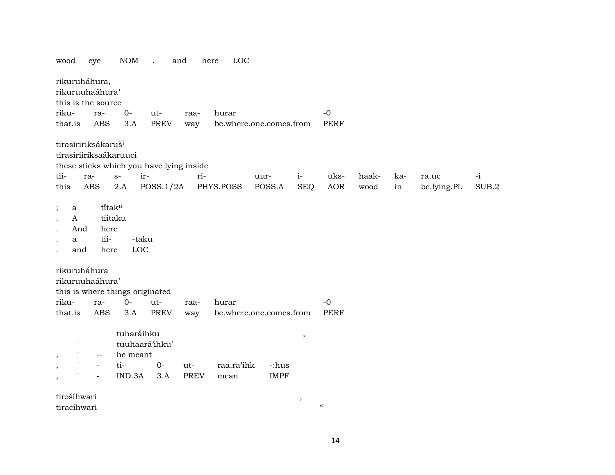| wood                                                                                                                                           | eye                                       | <b>NOM</b>                               | and<br>$\ddot{\phantom{a}}$              |             | LOC<br>here |                         |                          |                            |       |     |             |       |
|------------------------------------------------------------------------------------------------------------------------------------------------|-------------------------------------------|------------------------------------------|------------------------------------------|-------------|-------------|-------------------------|--------------------------|----------------------------|-------|-----|-------------|-------|
| rikuruháhura,<br>rikuruuhaáhura'<br>this is the source                                                                                         |                                           |                                          |                                          |             |             |                         |                          |                            |       |     |             |       |
| riku-                                                                                                                                          | ra-                                       | $0-$                                     | ut-                                      | raa-        | hurar       |                         |                          | $-0$                       |       |     |             |       |
| that.is                                                                                                                                        | <b>ABS</b>                                | 3.A                                      | <b>PREV</b>                              | way         |             | be.where.one.comes.from |                          | <b>PERF</b>                |       |     |             |       |
| tirasiririksákaruš <sup>i</sup><br>tirasiriiriksaákaruuci                                                                                      |                                           |                                          | these sticks which you have lying inside |             |             |                         |                          |                            |       |     |             |       |
| tii-                                                                                                                                           | ra-                                       | ir-<br>$S-$                              |                                          | ri-         |             | uur-                    | $i-$                     | uks-                       | haak- | ka- | ra.uc       | $-i$  |
| this                                                                                                                                           | ABS                                       | $2.A$                                    | POSS.1/2A                                |             | PHYS.POSS   | POSS.A                  | <b>SEQ</b>               | <b>AOR</b>                 | wood  | in  | be.lying.PL | SUB.2 |
| $\vdots$<br>a<br>$\mathbf{A}$<br>$\ddot{\phantom{a}}$<br>And<br>a<br>and<br>rikuruháhura<br>rikuruuhaáhura'<br>this is where things originated | titaku<br>tiítaku<br>here<br>tii-<br>here | -taku<br>LOC                             |                                          |             |             |                         |                          |                            |       |     |             |       |
| riku-                                                                                                                                          | ra-                                       | $0-$                                     | ut-                                      | raa-        | hurar       |                         |                          | $-0$                       |       |     |             |       |
| that.is                                                                                                                                        | <b>ABS</b>                                | 3.A                                      | <b>PREV</b>                              | way         |             | be.where.one.comes.from |                          | <b>PERF</b>                |       |     |             |       |
| $\pmb{\mathsf{H}}$<br>11<br>$\,$                                                                                                               | $\overline{\phantom{a}}$                  | tuharáihku<br>tuuhaará'ihku'<br>he meant |                                          |             |             |                         | $\overline{\phantom{a}}$ |                            |       |     |             |       |
| $\pmb{\mathsf{H}}$<br>$\,$                                                                                                                     | $\overline{\phantom{a}}$                  | ti-                                      | $0-$                                     | ut-         | raa.ra'ihk  | -:hus                   |                          |                            |       |     |             |       |
| "<br>$\,$                                                                                                                                      |                                           | IND.3A                                   | 3.A                                      | <b>PREV</b> | mean        | <b>IMPF</b>             |                          |                            |       |     |             |       |
| tirašíhwari                                                                                                                                    |                                           |                                          |                                          |             |             |                         | $\,$                     |                            |       |     |             |       |
| tiracíhwari                                                                                                                                    |                                           |                                          |                                          |             |             |                         |                          | $\boldsymbol{\mathcal{C}}$ |       |     |             |       |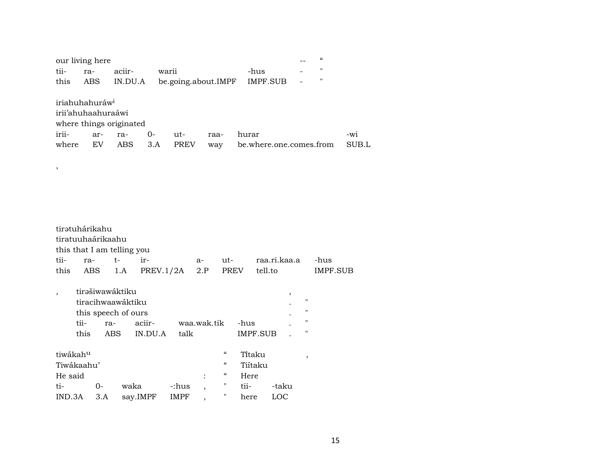| our living here            |     |                         |      |                     |      |                         |                          | $\epsilon$     |       |
|----------------------------|-----|-------------------------|------|---------------------|------|-------------------------|--------------------------|----------------|-------|
| tii-                       | ra- | aciir-                  |      | warii               |      | -hus                    | $\overline{\phantom{0}}$ | $^{\prime}$    |       |
| this                       | ABS | IN.DU.A                 |      | be.going.about.IMPF |      | IMPF.SUB                | $\overline{a}$           | $\blacksquare$ |       |
|                            |     |                         |      |                     |      |                         |                          |                |       |
| iriahuhahuráw <sup>i</sup> |     |                         |      |                     |      |                         |                          |                |       |
| irii'ahuhaahuraáwi         |     |                         |      |                     |      |                         |                          |                |       |
|                            |     | where things originated |      |                     |      |                         |                          |                |       |
| irii-                      | ar- | ra-                     | $O-$ | ut-                 | raa- | hurar                   |                          |                | $-W1$ |
| where                      | EV  | ABS                     | 3.A  | <b>PREV</b>         | way  | be.where.one.comes.from |                          |                | SUB.L |

,

| tirətuhárikahu           |      |                            |      |                 |       |                          |                            |          |              |         |         |          |
|--------------------------|------|----------------------------|------|-----------------|-------|--------------------------|----------------------------|----------|--------------|---------|---------|----------|
|                          |      | tiratuuhaárikaahu          |      |                 |       |                          |                            |          |              |         |         |          |
|                          |      | this that I am telling you |      |                 |       |                          |                            |          |              |         |         |          |
| tii-                     | ra-  | t-                         |      | ir-             |       | a-                       | ut-                        |          | raa.ri.kaa.a |         |         | -hus     |
|                          |      | this ABS 1.A               |      | PREV.1/2A $2.P$ |       |                          | PREV                       |          | tell.to      |         |         | IMPF.SUB |
| $\overline{\phantom{a}}$ |      | tirəšiwawáktiku            |      |                 |       |                          |                            |          |              | $\cdot$ |         |          |
|                          |      | tiracihwaawáktiku          |      |                 |       |                          |                            |          |              |         | п       |          |
|                          |      | this speech of ours        |      |                 |       |                          |                            |          |              |         | п       |          |
|                          | tii- | ra-                        |      | aciir-          |       | waa.wak.tik              |                            | -hus     |              |         | п       |          |
|                          | this | ABS.                       |      | IN.DU.A         | talk  |                          |                            | IMPF.SUB |              |         | п       |          |
| tiwákah <sup>u</sup>     |      |                            |      |                 |       |                          | $\mathcal{C}\mathcal{C}$   | Titaku   |              |         | $\cdot$ |          |
| Tiwákaahu'               |      |                            |      |                 |       |                          | $\epsilon$                 | Tiítaku  |              |         |         |          |
| He said                  |      |                            |      |                 |       | $\ddot{\cdot}$           | $\boldsymbol{\mathcal{G}}$ | Here     |              |         |         |          |
| ti-                      |      | 0-                         | waka |                 | -:hus | $\overline{\phantom{a}}$ | 11                         | tii-     | -taku        |         |         |          |
| IND.3A                   |      | 3.A                        |      | say.IMPF        | IMPF  | $\overline{ }$           |                            | here     | LOC          |         |         |          |
|                          |      |                            |      |                 |       |                          |                            |          |              |         |         |          |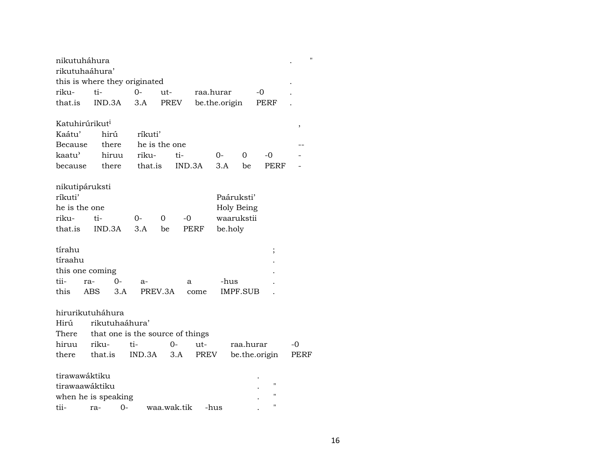| nikutuháhura<br>rikutuhaáhura'                      | this is where they originated                                          |               |             |               |                                        |               |                                  |      |
|-----------------------------------------------------|------------------------------------------------------------------------|---------------|-------------|---------------|----------------------------------------|---------------|----------------------------------|------|
| riku-                                               | ti-                                                                    | $0 -$         | ut-         | raa.hurar     |                                        | -0            |                                  |      |
| that.is                                             | IND.3A                                                                 | 3.A           | <b>PREV</b> | be.the.origin |                                        |               | PERF                             |      |
| Katuhirúrikut <sup>i</sup>                          |                                                                        |               |             |               |                                        |               |                                  | ,    |
| Kaátu'                                              | hirú                                                                   | ríkuti'       |             |               |                                        |               |                                  |      |
| Because                                             | there                                                                  | he is the one |             |               |                                        |               |                                  |      |
| kaatu'                                              | hiruu                                                                  | riku-         | ti-         |               | 0-                                     | $\Omega$      | -0                               |      |
| because                                             | there                                                                  | that.is       | IND.3A      |               | 3.A                                    | be            | PERF                             |      |
| nikutipáruksti<br>ríkuti'<br>he is the one<br>riku- | ti-                                                                    | 0-<br>0       | -0          |               | Paáruksti'<br>Holy Being<br>waarukstii |               |                                  |      |
| that.is                                             | IND.3A                                                                 | 3.A           | be          | PERF          | be.holy                                |               |                                  |      |
| tírahu<br>tíraahu                                   |                                                                        |               |             |               |                                        |               | $\frac{1}{2}$                    |      |
| this one coming                                     |                                                                        |               |             |               |                                        |               |                                  |      |
| tii-<br>ra-                                         | $0-$                                                                   | a-            | a           |               | -hus                                   |               |                                  |      |
| this                                                | 3.A<br>ABS                                                             | PREV.3A       |             | come          | IMPF.SUB                               |               |                                  |      |
| Hirú<br>There                                       | hirurikutuháhura<br>rikutuhaáhura'<br>that one is the source of things |               |             |               |                                        |               |                                  |      |
| hiruu                                               | riku-                                                                  | ti-           | $0-$        | ut-           |                                        | raa.hurar     |                                  | -0   |
| there                                               | that is                                                                | IND.3A        | 3.A         | PREV          |                                        | be.the.origin |                                  | PERF |
| tirawawáktiku<br>tirawaawáktiku                     | when he is speaking                                                    |               |             |               |                                        |               | $^{\prime\prime}$<br>$^{\prime}$ |      |
| tii-                                                | $O -$<br>ra-                                                           |               | waa.wak.tik | -hus          |                                        |               | 11                               |      |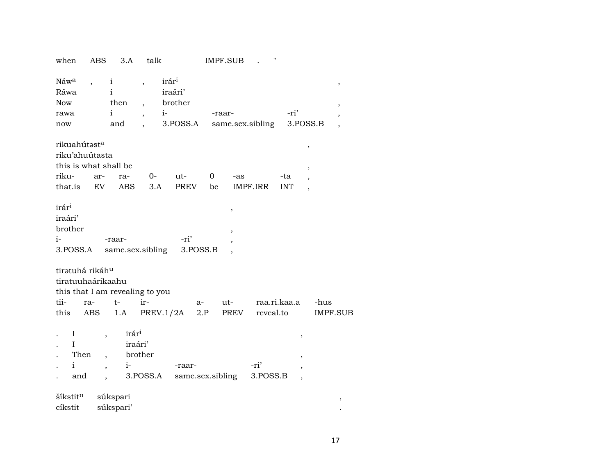| when                                                                        | <b>ABS</b>                                           | 3.A                                                               | talk                                                                                                          |                                | <b>IMPF.SUB</b> |                | 11               |                   |                                                           |                 |
|-----------------------------------------------------------------------------|------------------------------------------------------|-------------------------------------------------------------------|---------------------------------------------------------------------------------------------------------------|--------------------------------|-----------------|----------------|------------------|-------------------|-----------------------------------------------------------|-----------------|
| Náwa<br>Ráwa<br><b>Now</b><br>rawa<br>now                                   |                                                      | $\mathbf{i}$<br>$\mathbf{i}$<br>then<br>$\mathbf{i}$<br>and       | irár <sup>i</sup><br>$\overline{\phantom{a}}$<br>$\overline{\phantom{a}}$<br>$i-$<br>$\overline{\phantom{a}}$ | iraári'<br>brother<br>3.POSS.A | -raar-          |                | same.sex.sibling | -ri'              | 3.POSS.B                                                  | ,<br>,          |
| rikuahútasta<br>riku'ahuútasta<br>this is what shall be<br>riku-<br>that.is | ar-<br>EV                                            | ra-<br>ABS                                                        | $O-$<br>3.A                                                                                                   | ut-<br>PREV                    | 0<br>be         | -as            | IMPF.IRR         | -ta<br><b>INT</b> | $\, ,$<br>$\, ,$<br>$\overline{\phantom{a}}$              |                 |
| irár <sup>i</sup><br>iraári'<br>brother<br>i-<br>3.POSS.A                   |                                                      | -raar-                                                            | same.sex.sibling                                                                                              | -ri'<br>3.POSS.B               |                 | $\,$<br>,      |                  |                   |                                                           |                 |
| tiratuhá rikáh <sup>u</sup><br>tiratuuhaárikaahu<br>tii-<br>this            | ra-<br>ABS                                           | $t-$<br>1.A                                                       | this that I am revealing to you<br>ir-<br>PREV.1/2A                                                           | a-                             | 2.P             | $ut$ -<br>PREV | reveal.to        | raa.ri.kaa.a      | -hus                                                      | <b>IMPF.SUB</b> |
| I<br>I<br>Then<br>$\mathbf{i}$<br>and                                       | $\overline{\phantom{a}}$<br>$\overline{\phantom{a}}$ | irár <sup>i</sup><br>iraári'<br>$\overline{\phantom{a}}$<br>$i$ - | brother<br>3.POSS.A                                                                                           | -raar-<br>same.sex.sibling     |                 |                | -ri'<br>3.POSS.B |                   | ,<br>$\overline{\phantom{a}}$<br>$\overline{\phantom{a}}$ |                 |
| šíkstit <sup>n</sup><br>cíkstit                                             |                                                      | súkspari<br>súkspari'                                             |                                                                                                               |                                |                 |                |                  |                   |                                                           | $^\mathrm{,}$   |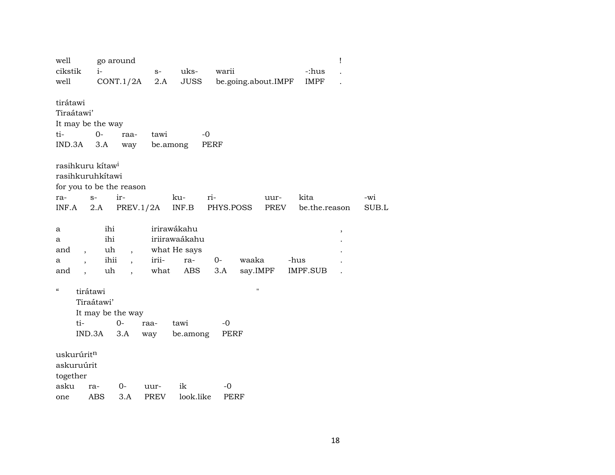| well                   |                                  | go around                |             |               |                     |              |                 | Ţ |       |
|------------------------|----------------------------------|--------------------------|-------------|---------------|---------------------|--------------|-----------------|---|-------|
| cikstik                | $i-$                             |                          | $S-$        | uks-          | warii               |              | -:hus           |   |       |
| well                   |                                  | CONT.1/2A                | 2.A         | <b>JUSS</b>   | be.going.about.IMPF |              | <b>IMPF</b>     |   |       |
|                        |                                  |                          |             |               |                     |              |                 |   |       |
| tirátawi               |                                  |                          |             |               |                     |              |                 |   |       |
| Tiraátawi'             |                                  |                          |             |               |                     |              |                 |   |       |
|                        | It may be the way                |                          |             |               |                     |              |                 |   |       |
| ti-                    | $O -$                            | raa-                     | tawi        | $-0$          |                     |              |                 |   |       |
| IND.3A                 | 3.A                              | way                      | be.among    |               | PERF                |              |                 |   |       |
|                        | rasihkuru kitaw <sup>i</sup>     |                          |             |               |                     |              |                 |   |       |
|                        | rasihkuruhkítawi                 |                          |             |               |                     |              |                 |   |       |
|                        | for you to be the reason         |                          |             |               |                     |              |                 |   |       |
| ra-                    | $S-$                             | ir-                      |             | ri-<br>ku-    |                     | uur-         | kita            |   | -wi   |
| INF.A                  | 2.A                              | PREV.1/2A                |             | INF.B         | PHYS.POSS           | PREV         | be.the.reason   |   | SUB.L |
|                        |                                  |                          |             |               |                     |              |                 |   |       |
| a                      | ihi                              |                          |             | irirawákahu   |                     |              |                 | , |       |
| а                      | ihi                              |                          |             | iriirawaákahu |                     |              |                 |   |       |
| and                    | uh<br>$\overline{\phantom{a}}$   | $\overline{\phantom{a}}$ |             | what He says  |                     |              |                 |   |       |
| a                      | ihii<br>$\overline{\phantom{a}}$ | $\overline{\phantom{a}}$ | irii-       | ra-           | $0 -$<br>waaka      |              | -hus            |   |       |
| and                    | uh<br>$\ddot{\phantom{0}}$       | $\ddot{\phantom{0}}$     | what        | ABS           | 3.A                 | say.IMPF     | <b>IMPF.SUB</b> |   |       |
| $\epsilon\epsilon$     | tirátawi                         |                          |             |               |                     | $\mathbf{H}$ |                 |   |       |
|                        | Tiraátawi'                       |                          |             |               |                     |              |                 |   |       |
|                        |                                  |                          |             |               |                     |              |                 |   |       |
|                        | It may be the way                |                          |             |               |                     |              |                 |   |       |
|                        | ti-                              | $0-$                     | raa-        | tawi          | -0                  |              |                 |   |       |
|                        | IND.3A                           | 3.A                      | way         | be.among      | <b>PERF</b>         |              |                 |   |       |
| uskurúrit <sup>n</sup> |                                  |                          |             |               |                     |              |                 |   |       |
| askuruúrit             |                                  |                          |             |               |                     |              |                 |   |       |
| together               |                                  |                          |             |               |                     |              |                 |   |       |
| asku                   | ra-                              | 0-                       | uur-        | ik            | -0                  |              |                 |   |       |
| one                    | <b>ABS</b>                       | 3.A                      | <b>PREV</b> | look.like     | PERF                |              |                 |   |       |
|                        |                                  |                          |             |               |                     |              |                 |   |       |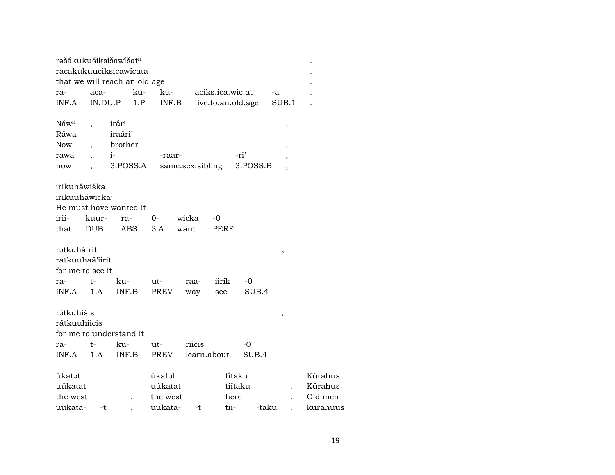|                                                    |            | rašákukušiksišawíšat <sup>a</sup><br>racakukuuciksicawicata |                   |                  |                    |                     |                          |                    |  |
|----------------------------------------------------|------------|-------------------------------------------------------------|-------------------|------------------|--------------------|---------------------|--------------------------|--------------------|--|
|                                                    |            | that we will reach an old age                               |                   |                  |                    |                     |                          |                    |  |
| ra-                                                | aca-       |                                                             | ku-<br>ku-        |                  | aciks.ica.wic.at   |                     | -a                       |                    |  |
| INF.A                                              | IN.DU.P    |                                                             | 1.P<br>INF.B      |                  | live.to.an.old.age |                     | SUB.1                    |                    |  |
| Náw <sup>a</sup>                                   |            | irár <sup>i</sup>                                           |                   |                  |                    |                     | ,                        |                    |  |
| Ráwa                                               |            | iraári'                                                     |                   |                  |                    |                     |                          |                    |  |
| <b>Now</b>                                         |            | brother                                                     |                   |                  |                    |                     | $\overline{\phantom{a}}$ |                    |  |
| rawa                                               |            | $i-$                                                        | -raar-            |                  |                    | -ri'                |                          |                    |  |
| now                                                |            | 3.POSS.A                                                    |                   | same.sex.sibling |                    | 3.POSS.B            |                          |                    |  |
| irikuháwiška<br>irikuuháwicka'                     |            |                                                             |                   |                  |                    |                     |                          |                    |  |
|                                                    |            | He must have wanted it                                      |                   |                  |                    |                     |                          |                    |  |
| irii-                                              | kuur-      | ra-                                                         | 0-                | wicka            | -0                 |                     |                          |                    |  |
| that                                               | <b>DUB</b> | <b>ABS</b>                                                  | 3.A               | want             | PERF               |                     |                          |                    |  |
| ratkuháirit<br>ratkuuhaá'iirit<br>for me to see it |            |                                                             |                   |                  |                    |                     | ,                        |                    |  |
| ra-                                                | t-         | ku-                                                         | ut-               | raa-             | iirik              | -0                  |                          |                    |  |
| INF.A                                              | 1.A        | INF.B                                                       | PREV              | way              | see                | SUB.4               |                          |                    |  |
| rátkuhišis<br>rátkuuhiicis                         |            | for me to understand it                                     |                   |                  |                    |                     | ,                        |                    |  |
| ra-                                                | t-         | ku-                                                         | ut-               | riicis           |                    | -0                  |                          |                    |  |
| INF.A                                              | 1.A        | INF.B                                                       | PREV              |                  | learn.about        | SUB.4               |                          |                    |  |
| úkatət<br>uúkatat                                  |            |                                                             | úkatət<br>uúkatat |                  |                    | ti̇̃taku<br>tiítaku |                          | Kúrahus<br>Kúrahus |  |
| the west                                           |            | $\overline{\phantom{a}}$                                    | the west          |                  |                    | here                |                          | Old men            |  |
| uukata-                                            | -t         |                                                             | uukata-           | -t               | tii-               | -taku               |                          | kurahuus           |  |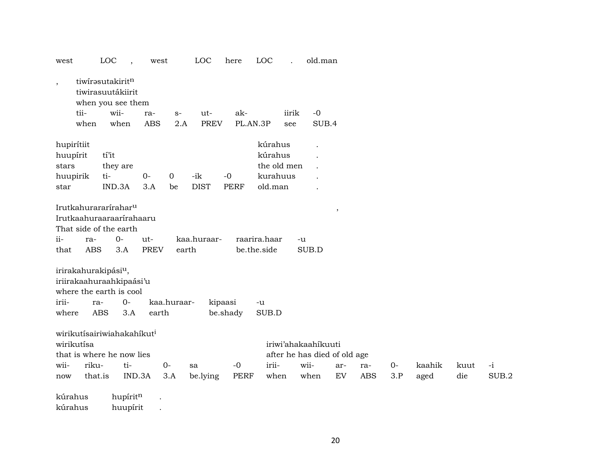| west                     |                   | LOC                                                                       | west                                           |                | LOC         | here        | LOC                         |             | old.man                      |                         |            |      |        |      |       |
|--------------------------|-------------------|---------------------------------------------------------------------------|------------------------------------------------|----------------|-------------|-------------|-----------------------------|-------------|------------------------------|-------------------------|------------|------|--------|------|-------|
| $\overline{\phantom{a}}$ |                   | tiwirasutakiritn<br>tiwirasuutákiirit<br>when you see them                |                                                |                |             |             |                             |             |                              |                         |            |      |        |      |       |
|                          | tii-              | wii-                                                                      | ra-                                            | $S-$           | ut-         | ak-         |                             | iirik       | $-0$                         |                         |            |      |        |      |       |
|                          | when              | when                                                                      | <b>ABS</b>                                     | 2.A            | <b>PREV</b> | PL.AN.3P    |                             | see         | SUB.4                        |                         |            |      |        |      |       |
| hupirítiit               |                   |                                                                           |                                                |                |             |             | kúrahus                     |             |                              |                         |            |      |        |      |       |
| huupírit                 |                   | tí'it                                                                     |                                                |                |             |             | kúrahus                     |             |                              |                         |            |      |        |      |       |
| stars                    |                   | they are                                                                  |                                                |                |             |             |                             | the old men |                              |                         |            |      |        |      |       |
| huupirik                 |                   | ti-                                                                       | $O -$                                          | $\overline{0}$ | -ik         | $-0$        | kurahuus                    |             |                              |                         |            |      |        |      |       |
| star                     |                   | IND.3A                                                                    | 3.A                                            | be             | <b>DIST</b> | <b>PERF</b> | old.man                     |             |                              |                         |            |      |        |      |       |
| ii-<br>that              | ra-<br><b>ABS</b> | Irutkahurararírahar <sup>u</sup><br>That side of the earth<br>$0-$<br>3.A | Irutkaahuraaraarírahaaru<br>ut-<br><b>PREV</b> | earth          | kaa.huraar- |             | raarira.haar<br>be.the.side | -u          | SUB.D                        | $^\mathrm{^\mathrm{o}}$ |            |      |        |      |       |
|                          |                   | irirakahurakipási <sup>u</sup> ,                                          |                                                |                |             |             |                             |             |                              |                         |            |      |        |      |       |
|                          |                   | iriirakaahuraahkipaási'u                                                  |                                                |                |             |             |                             |             |                              |                         |            |      |        |      |       |
|                          |                   | where the earth is cool                                                   |                                                |                |             |             |                             |             |                              |                         |            |      |        |      |       |
| irii-                    | ra-               |                                                                           | $0-$                                           | kaa.huraar-    |             | kipaasi     | -u                          |             |                              |                         |            |      |        |      |       |
| where                    |                   | <b>ABS</b>                                                                | 3.A<br>earth                                   |                |             | be.shady    | SUB.D                       |             |                              |                         |            |      |        |      |       |
|                          |                   |                                                                           | wirikutísairiwiahakahíkut <sup>i</sup>         |                |             |             |                             |             |                              |                         |            |      |        |      |       |
|                          | wirikutísa        |                                                                           |                                                |                |             |             |                             |             | iriwi'ahakaahikuuti          |                         |            |      |        |      |       |
|                          |                   | that is where he now lies                                                 |                                                |                |             |             |                             |             | after he has died of old age |                         |            |      |        |      |       |
| wii-                     | riku-             |                                                                           | ti-                                            | $0-$           | sa          | $-0$        | irii-                       |             | wii-                         | ar-                     | ra-        | $0-$ | kaahik | kuut | $-i$  |
| now                      | that.is           |                                                                           | IND.3A                                         | 3.A            | be.lying    | <b>PERF</b> | when                        |             | when                         | ${\rm EV}$              | <b>ABS</b> | 3.P  | aged   | die  | SUB.2 |
| kúrahus                  |                   |                                                                           | hupíritn<br>$\bullet$                          |                |             |             |                             |             |                              |                         |            |      |        |      |       |

kúrahus huupírit .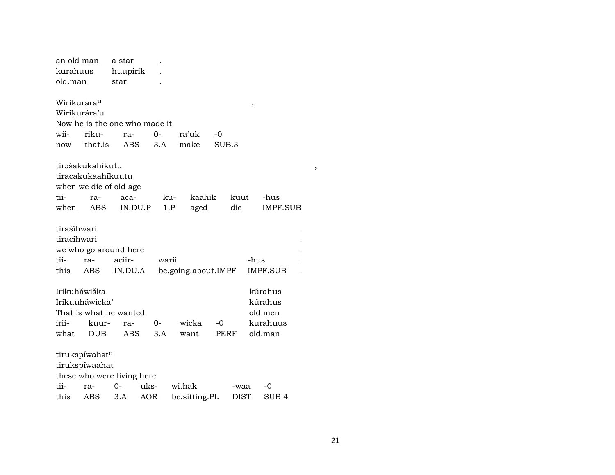| an old man              |                    | a star                        |       |                     |       |      |                 |  |
|-------------------------|--------------------|-------------------------------|-------|---------------------|-------|------|-----------------|--|
| kurahuus                |                    | huupirik                      |       |                     |       |      |                 |  |
| old.man                 |                    | star                          |       |                     |       |      |                 |  |
|                         |                    |                               |       |                     |       |      |                 |  |
| Wirikurara <sup>u</sup> |                    |                               |       |                     |       | ,    |                 |  |
| Wirikurára'u            |                    |                               |       |                     |       |      |                 |  |
|                         |                    | Now he is the one who made it |       |                     |       |      |                 |  |
| wii-                    | riku-              | ra-                           | $0 -$ | ra'uk               | -0    |      |                 |  |
| now                     | that.is            | <b>ABS</b>                    | 3.A   | make                | SUB.3 |      |                 |  |
|                         | tirəšakukahíkutu   |                               |       |                     |       |      |                 |  |
|                         | tiracakukaahíkuutu |                               |       |                     |       |      |                 |  |
|                         |                    | when we die of old age        |       |                     |       |      |                 |  |
| tii-                    | ra-                | aca-                          | ku-   | kaahik              |       | kuut | -hus            |  |
| when                    | <b>ABS</b>         | IN.DU.P                       | 1.P   | aged                |       | die  | IMPF.SUB        |  |
|                         |                    |                               |       |                     |       |      |                 |  |
| tirašíhwari             |                    |                               |       |                     |       |      |                 |  |
| tiracíhwari             |                    |                               |       |                     |       |      |                 |  |
|                         |                    | we who go around here         |       |                     |       |      |                 |  |
| tii-                    | ra-                | aciir-                        | warii |                     |       |      | -hus            |  |
| this                    | ABS.               | IN.DU.A                       |       | be.going.about.IMPF |       |      | <b>IMPF.SUB</b> |  |
|                         |                    |                               |       |                     |       |      |                 |  |
| Irikuháwiška            |                    |                               |       |                     |       |      | kúrahus         |  |
|                         | Irikuuháwicka'     |                               |       |                     |       |      | kúrahus         |  |
|                         |                    | That is what he wanted        |       |                     |       |      | old men         |  |
| irii-                   | kuur-              | ra-                           | 0-    | wicka               | -0    |      | kurahuus        |  |
| what                    | <b>DUB</b>         | ABS                           | 3.A   | want                |       | PERF | old.man         |  |
|                         |                    |                               |       |                     |       |      |                 |  |
|                         | tirukspíwahatn     |                               |       |                     |       |      |                 |  |
|                         | tirukspíwaahat     |                               |       |                     |       |      |                 |  |
|                         |                    | these who were living here    |       |                     |       |      |                 |  |
| tii-                    | ra-                | $0 -$                         | uks-  | wi.hak              |       | -waa | -0              |  |
| this                    | ABS                | 3.A                           | AOR   | be.sitting.PL       |       | DIST | SUB.4           |  |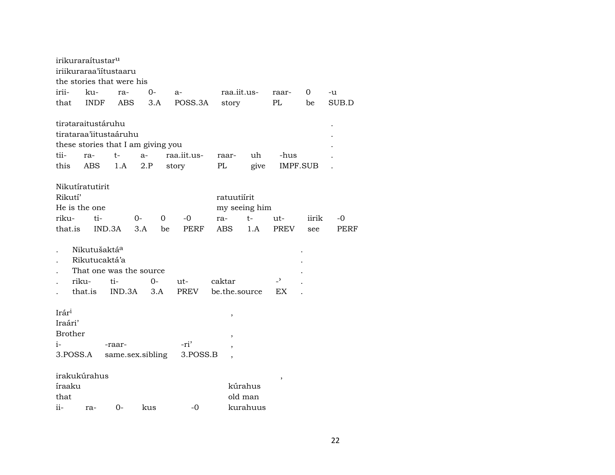|                                                        | irikuraraítustar <sup>u</sup>                                 | iriikuraraa'iitustaaru                                               |           |                              |                           |                                |                       |                 |            |
|--------------------------------------------------------|---------------------------------------------------------------|----------------------------------------------------------------------|-----------|------------------------------|---------------------------|--------------------------------|-----------------------|-----------------|------------|
|                                                        |                                                               | the stories that were his                                            |           |                              |                           |                                |                       |                 |            |
| irii-                                                  | ku-                                                           | ra-                                                                  | $O -$     | a-                           | raa.iit.us-               |                                | raar-                 | 0               | -u         |
| that                                                   | <b>INDF</b>                                                   | ABS                                                                  | 3.A       | POSS.3A                      | story                     |                                | PL                    | be              | SUB.D      |
| tii-                                                   | tirataraitustáruhu<br>ra-                                     | tirataraa'iitustaáruhu<br>these stories that I am giving you<br>$t-$ | $a-$      | raa.iit.us-                  | raar-                     | uh                             | -hus                  |                 |            |
| this                                                   | <b>ABS</b>                                                    | 1.A                                                                  | 2.P       | story                        | PL                        | give                           |                       | <b>IMPF.SUB</b> |            |
| Rikutí'<br>riku-<br>that.is                            | Nikutíratutirit<br>He is the one<br>ti-                       | IND.3A                                                               | 0-<br>3.A | 0<br>-0<br><b>PERF</b><br>be | ratuutiírit<br>ra-<br>ABS | my seeing him<br>$t-$<br>1.A   | $ut -$<br><b>PREV</b> | iirik<br>see    | -0<br>PERF |
|                                                        | Nikutušaktá <sup>a</sup><br>Rikutucaktá'a<br>riku-<br>that.is | That one was the source<br>ti-<br>IND.3A                             | 0-<br>3.A | ut-<br><b>PREV</b>           | caktar<br>be.the.source   |                                | $\overline{z}$<br>EX  |                 |            |
| Irári<br>Iraári'<br><b>Brother</b><br>$i-$<br>3.POSS.A |                                                               | -raar-<br>same.sex.sibling                                           |           | -ri'<br>3.POSS.B             | ,                         |                                |                       |                 |            |
| íraaku<br>that<br>ii-                                  | irakukúrahus<br>ra-                                           | $0-$                                                                 | kus       | -0                           |                           | kúrahus<br>old man<br>kurahuus |                       |                 |            |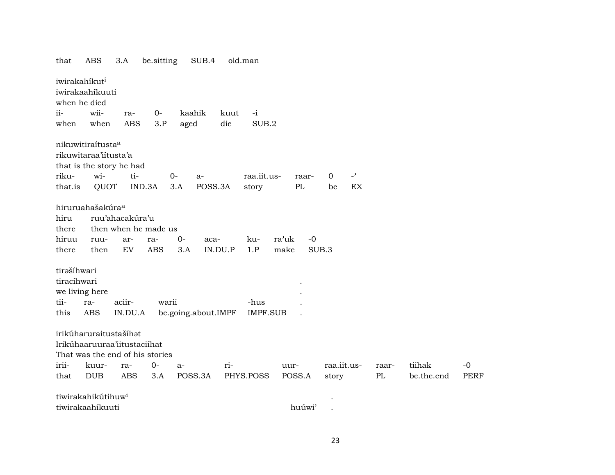that ABS 3.A be.sitting SUB.4 old.man iwirakahíkut<sup>i</sup> iwirakaahíkuuti when he died ii- wii- ra- 0- kaahik kuut -i when when ABS 3.P aged die SUB.2 nikuwitiraítusta° rikuwitaraa'iítusta'a that is the story he had riku- wi- ti- 0- a- raa.iit.us- raar- 0 -" that.is QUOT IND.3A 3.A POSS.3A story PL be EX hiruruahašakúra° hiru ruu'ahacakúra'u there then when he made us hiruu ruu- ar- ra- 0- aca- ku- ra"uk -0 there then EV ABS 3.A IN.DU.P 1.P make SUB.3 tirašíhwari tiracíhwari . we living here tii- ra- aciir- warii -hus . this ABS IN.DU.A be.going.about.IMPF IMPF.SUB . irikúharuraitustašíhət Irikúhaaruuraa'iitustaciíhat That was the end of his stories irii- kuur- ra- 0- a- ri- uur- raa.iit.us- raar- tiihak -0 that DUB ABS 3.A POSS.3A PHYS.POSS POSS.A story PL be.the.end PERF tiwirakahikútihuw<sup>i</sup> tiwirakaahíkuuti huúwi' .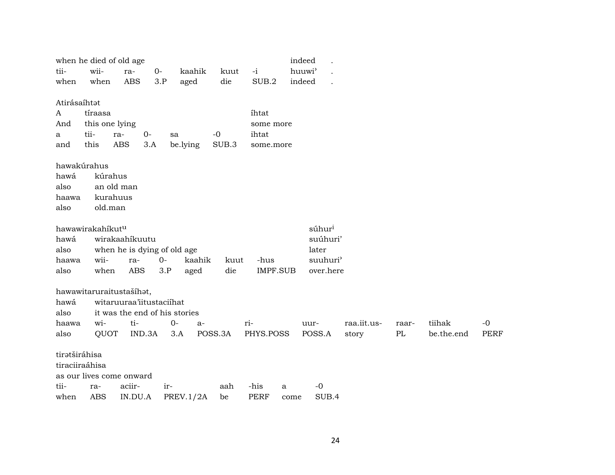|                | when he died of old age |                               |       |                        |                 | indeed             |             |       |            |             |
|----------------|-------------------------|-------------------------------|-------|------------------------|-----------------|--------------------|-------------|-------|------------|-------------|
| tii-           | wii-                    | ra-                           | $0-$  | kaahik<br>kuut         | $-i$            | huuwi <sup>3</sup> |             |       |            |             |
| when           | when                    | <b>ABS</b>                    | 3.P   | aged<br>die            | SUB.2           | indeed             |             |       |            |             |
|                |                         |                               |       |                        |                 |                    |             |       |            |             |
| Atirásaíhtət   |                         |                               |       |                        |                 |                    |             |       |            |             |
| A              | tíraasa                 |                               |       |                        | ihtat           |                    |             |       |            |             |
| And            | this one lying          |                               |       |                        | some more       |                    |             |       |            |             |
| a              | tii-                    | $0-$<br>ra-                   | sa    | $-0$                   | ihtat           |                    |             |       |            |             |
| and            | this                    | <b>ABS</b><br>3.A             |       | SUB.3<br>be.lying      | some.more       |                    |             |       |            |             |
|                |                         |                               |       |                        |                 |                    |             |       |            |             |
|                | hawakúrahus             |                               |       |                        |                 |                    |             |       |            |             |
| hawá           | kúrahus                 |                               |       |                        |                 |                    |             |       |            |             |
| also           |                         | an old man                    |       |                        |                 |                    |             |       |            |             |
| haawa          | kurahuus                |                               |       |                        |                 |                    |             |       |            |             |
| also           | old.man                 |                               |       |                        |                 |                    |             |       |            |             |
|                | hawawirakahikutu        |                               |       |                        |                 | súhur <sup>i</sup> |             |       |            |             |
| hawá           |                         | wirakaahíkuutu                |       |                        |                 | suúhuri'           |             |       |            |             |
| also           |                         | when he is dying of old age   |       |                        |                 | later              |             |       |            |             |
| haawa          | wii-                    | ra-                           | $O -$ | kaahik<br>kuut         | -hus            | suuhuri'           |             |       |            |             |
| also           | when                    | ABS                           | 3.P   | die<br>aged            | <b>IMPF.SUB</b> | over.here          |             |       |            |             |
|                |                         |                               |       |                        |                 |                    |             |       |            |             |
|                |                         | hawawitaruraitustašíhat,      |       |                        |                 |                    |             |       |            |             |
| hawá           |                         | witaruuraa'iitustaciihat      |       |                        |                 |                    |             |       |            |             |
| also           |                         | it was the end of his stories |       |                        |                 |                    |             |       |            |             |
| haawa          | wi-                     | ti-                           | $0-$  | a-                     | ri-             | uur-               | raa.iit.us- | raar- | tiihak     | $-0$        |
| also           | QUOT                    | IND.3A                        | 3.A   | POSS.3A                | PHYS.POSS       | POSS.A             | story       | PL    | be.the.end | <b>PERF</b> |
|                |                         |                               |       |                        |                 |                    |             |       |            |             |
| tiratširáhisa  |                         |                               |       |                        |                 |                    |             |       |            |             |
| tiraciiraáhisa |                         |                               |       |                        |                 |                    |             |       |            |             |
|                |                         | as our lives come onward      |       |                        |                 |                    |             |       |            |             |
| tii-           | ra-                     | aciir-                        | ir-   | aah                    | -his            | $-0$<br>a          |             |       |            |             |
| when           | <b>ABS</b>              | IN.DU.A                       |       | <b>PREV.1/2A</b><br>be | <b>PERF</b>     | SUB.4<br>come      |             |       |            |             |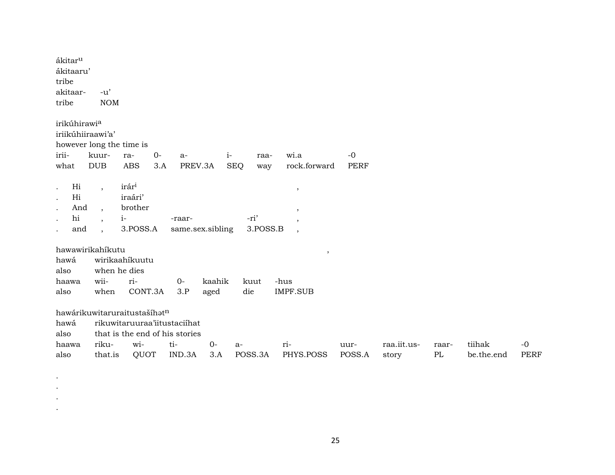| ákitar <sup>u</sup><br>ákitaaru'<br>tribe<br>akitaar-<br>tribe                                                      | $-u'$<br><b>NOM</b>                                                                              |                                                              |                            |        |                   |                                                        |             |             |       |            |             |
|---------------------------------------------------------------------------------------------------------------------|--------------------------------------------------------------------------------------------------|--------------------------------------------------------------|----------------------------|--------|-------------------|--------------------------------------------------------|-------------|-------------|-------|------------|-------------|
| irikúhirawia<br>iriikúhiiraawi'a'<br>however long the time is                                                       |                                                                                                  |                                                              |                            |        |                   |                                                        |             |             |       |            |             |
| irii-                                                                                                               | kuur-                                                                                            | $0-$<br>ra-                                                  | a-                         | $i-$   | raa-              | wi.a                                                   | $-0$        |             |       |            |             |
| what                                                                                                                | <b>DUB</b>                                                                                       | <b>ABS</b><br>3.A                                            | PREV.3A                    |        | <b>SEQ</b><br>way | rock.forward                                           | <b>PERF</b> |             |       |            |             |
| Hi<br>$\bullet$<br>Hi<br>$\bullet$<br>And<br>$\ddot{\phantom{0}}$<br>hi<br>$\bullet$<br>and<br>$\ddot{\phantom{0}}$ | $\overline{\phantom{a}}$<br>$\overline{ }$ ,<br>$\overline{\phantom{a}}$<br>$\ddot{\phantom{0}}$ | irár <sup>i</sup><br>iraári'<br>brother<br>$i-$<br>3.POSS.A  | -raar-<br>same.sex.sibling |        | -ri'<br>3.POSS.B  | $\,$<br>$\cdot$<br>$\cdot$<br>$\overline{\phantom{a}}$ |             |             |       |            |             |
| hawawirikahikutu                                                                                                    |                                                                                                  |                                                              |                            |        |                   | $\,$                                                   |             |             |       |            |             |
| hawá                                                                                                                |                                                                                                  | wirikaahíkuutu                                               |                            |        |                   |                                                        |             |             |       |            |             |
| also                                                                                                                |                                                                                                  | when he dies                                                 |                            |        |                   |                                                        |             |             |       |            |             |
| haawa                                                                                                               | wii-                                                                                             | ri-                                                          | $0-$                       | kaahik | kuut              | -hus                                                   |             |             |       |            |             |
| also                                                                                                                | when                                                                                             | CONT.3A                                                      | 3.P                        | aged   | die               | <b>IMPF.SUB</b>                                        |             |             |       |            |             |
| hawá                                                                                                                |                                                                                                  | hawárikuwitaruraitustašíhatn<br>rikuwitaruuraa'iitustaciihat |                            |        |                   |                                                        |             |             |       |            |             |
| also                                                                                                                |                                                                                                  | that is the end of his stories                               |                            |        |                   |                                                        |             |             |       |            |             |
| haawa                                                                                                               | riku-                                                                                            | wi-                                                          | ti-                        | $0-$   | a-                | ri-                                                    | uur-        | raa.iit.us- | raar- | tiihak     | $-0$        |
| also                                                                                                                | that.is                                                                                          | QUOT                                                         | IND.3A                     | 3.A    | POSS.3A           | PHYS.POSS                                              | POSS.A      | story       | PL    | be.the.end | <b>PERF</b> |

 $\bullet$  $\bullet$  $\bullet$  $\bullet$ 

25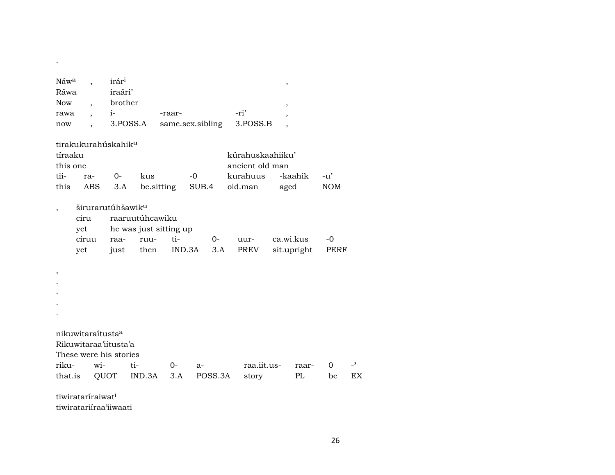| Náwa                     |                               | irár <sup>i</sup>               |                        |                  |        |         |                  | $\, ,$                   |             |            |                |
|--------------------------|-------------------------------|---------------------------------|------------------------|------------------|--------|---------|------------------|--------------------------|-------------|------------|----------------|
| Ráwa                     |                               | iraári'                         |                        |                  |        |         |                  |                          |             |            |                |
| <b>Now</b>               |                               | brother                         |                        |                  |        |         |                  | $\overline{\phantom{a}}$ |             |            |                |
| rawa                     |                               | $i-$                            |                        | -raar-           |        |         | -ri'             |                          |             |            |                |
| now                      |                               |                                 | 3.POSS.A               | same.sex.sibling |        |         | 3.POSS.B         |                          |             |            |                |
|                          |                               | tirakukurahúskahik <sup>u</sup> |                        |                  |        |         |                  |                          |             |            |                |
| tíraaku                  |                               |                                 |                        |                  |        |         | kúrahuskaahiiku' |                          |             |            |                |
| this one                 |                               |                                 |                        |                  |        |         | ancient old man  |                          |             |            |                |
| tii-                     | ra-                           | $0 -$                           | kus                    |                  | $-0$   |         | kurahuus         |                          | -kaahik     | -u'        |                |
| this                     |                               | ABS<br>3.A                      |                        | be sitting       | SUB.4  |         | old.man          | aged                     |             | <b>NOM</b> |                |
| $\overline{\phantom{a}}$ |                               | širurarutúhšawik <sup>u</sup>   |                        |                  |        |         |                  |                          |             |            |                |
|                          | ciru                          |                                 | raaruutúhcawiku        |                  |        |         |                  |                          |             |            |                |
|                          | yet                           |                                 | he was just sitting up |                  |        |         |                  |                          |             |            |                |
|                          | ciruu                         | raa-                            | ruu-                   | ti-              |        | $0-$    | uur-             |                          | ca.wi.kus   | $-0$       |                |
|                          | yet                           | just                            | then                   |                  | IND.3A | 3.A     | PREV             |                          | sit.upright | PERF       |                |
|                          |                               |                                 |                        |                  |        |         |                  |                          |             |            |                |
| $\, ,$                   |                               |                                 |                        |                  |        |         |                  |                          |             |            |                |
|                          |                               |                                 |                        |                  |        |         |                  |                          |             |            |                |
|                          |                               |                                 |                        |                  |        |         |                  |                          |             |            |                |
|                          |                               |                                 |                        |                  |        |         |                  |                          |             |            |                |
|                          |                               |                                 |                        |                  |        |         |                  |                          |             |            |                |
|                          |                               | nikuwitaraitusta <sup>a</sup>   |                        |                  |        |         |                  |                          |             |            |                |
|                          |                               | Rikuwitaraa'iitusta'a           |                        |                  |        |         |                  |                          |             |            |                |
|                          |                               | These were his stories          |                        |                  |        |         |                  |                          |             |            |                |
| riku-                    |                               | wi-                             | ti-                    | $0-$             | $a-$   |         | raa.iit.us-      |                          | raar-       | $\Omega$   | $\overline{a}$ |
| that.is                  |                               | QUOT                            | IND.3A                 | 3.A              |        | POSS.3A | story            |                          | PL          | be         | EX             |
|                          | tiwirataríraiwat <sup>i</sup> |                                 |                        |                  |        |         |                  |                          |             |            |                |

tiwiratariíraa'iiwaati

.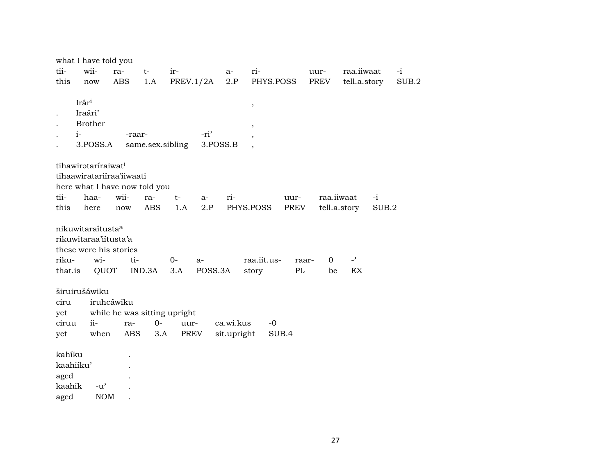|         | what I have told you            |               |        |            |                              |          |             |                          |       |      |                          |       |       |
|---------|---------------------------------|---------------|--------|------------|------------------------------|----------|-------------|--------------------------|-------|------|--------------------------|-------|-------|
| tii-    | wii-                            | ra-           | $t-$   |            | ir-                          |          | a-          | ri-                      |       | uur- | raa.iiwaat               |       | $-i$  |
| this    | now                             | ABS           |        | 1.A        | PREV.1/2A                    |          | 2.P         | PHYS.POSS                |       | PREV | tell.a.story             |       | SUB.2 |
|         | Irári                           |               |        |            |                              |          |             | $\, ,$                   |       |      |                          |       |       |
|         | Iraári'                         |               |        |            |                              |          |             |                          |       |      |                          |       |       |
|         | <b>Brother</b>                  |               |        |            |                              |          |             | $\, ,$                   |       |      |                          |       |       |
|         | $i-$                            |               | -raar- |            |                              | -ri'     |             |                          |       |      |                          |       |       |
|         | 3.POSS.A                        |               |        |            | same.sex.sibling             | 3.POSS.B |             | $\overline{\phantom{a}}$ |       |      |                          |       |       |
|         | tihawirataríraiwat <sup>i</sup> |               |        |            |                              |          |             |                          |       |      |                          |       |       |
|         | tihaawiratariiraa'iiwaati       |               |        |            |                              |          |             |                          |       |      |                          |       |       |
|         | here what I have now told you   |               |        |            |                              |          |             |                          |       |      |                          |       |       |
| tii-    | haa-                            | wii-          |        | ra-        | t-                           | $a-$     | ri-         |                          | uur-  |      | raa.iiwaat               | $-i$  |       |
| this    | here                            | now           |        | <b>ABS</b> | 1.A                          | 2.P      |             | PHYS.POSS                | PREV  |      | tell.a.story             | SUB.2 |       |
|         |                                 |               |        |            |                              |          |             |                          |       |      |                          |       |       |
|         | nikuwitaraítusta <sup>a</sup>   |               |        |            |                              |          |             |                          |       |      |                          |       |       |
|         | rikuwitaraa'iitusta'a           |               |        |            |                              |          |             |                          |       |      |                          |       |       |
|         | these were his stories          |               |        |            |                              |          |             |                          |       |      |                          |       |       |
| riku-   | wi-                             |               | ti-    |            | $0-$                         | $a-$     |             | raa.iit.us-              | raar- | 0    | $\overline{\phantom{0}}$ |       |       |
| that.is |                                 | QUOT          | IND.3A |            | 3.A                          | POSS.3A  |             | story                    | PL    | be   | EX                       |       |       |
|         | širuirušáwiku                   |               |        |            |                              |          |             |                          |       |      |                          |       |       |
| ciru    |                                 | iruhcáwiku    |        |            |                              |          |             |                          |       |      |                          |       |       |
| yet     |                                 |               |        |            | while he was sitting upright |          |             |                          |       |      |                          |       |       |
| ciruu   | $ii -$                          |               | ra-    | $0-$       | uur-                         |          | ca.wi.kus   | $-0$                     |       |      |                          |       |       |
| yet     |                                 | when          | ABS    | 3.A        | PREV                         |          | sit.upright |                          | SUB.4 |      |                          |       |       |
| kahíku  |                                 |               |        |            |                              |          |             |                          |       |      |                          |       |       |
|         | kaahiíku'                       |               |        |            |                              |          |             |                          |       |      |                          |       |       |
| aged    |                                 |               |        |            |                              |          |             |                          |       |      |                          |       |       |
| kaahik  |                                 | $-u^{\prime}$ |        |            |                              |          |             |                          |       |      |                          |       |       |
| aged    |                                 | <b>NOM</b>    |        |            |                              |          |             |                          |       |      |                          |       |       |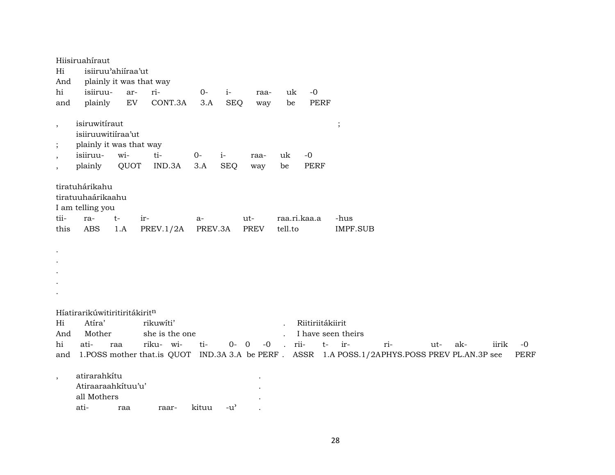| And<br>hi              | isiiruu-                                | plainly it was that way<br>ar- | ri-                                                                                          | $0-$    | $i-$       | raa-        | uk                   | $-0$               |                 |     |     |     |       |             |
|------------------------|-----------------------------------------|--------------------------------|----------------------------------------------------------------------------------------------|---------|------------|-------------|----------------------|--------------------|-----------------|-----|-----|-----|-------|-------------|
| and                    | plainly                                 | EV                             | CONT.3A                                                                                      | 3.A     | <b>SEQ</b> | way         | be                   | <b>PERF</b>        |                 |     |     |     |       |             |
| $\cdot$                | isiruwitíraut                           |                                |                                                                                              |         |            |             |                      |                    | $\vdots$        |     |     |     |       |             |
|                        | isiiruuwitiiraa'ut                      |                                |                                                                                              |         |            |             |                      |                    |                 |     |     |     |       |             |
| $\cdot$                | plainly it was that way                 |                                |                                                                                              |         |            |             |                      |                    |                 |     |     |     |       |             |
| $\cdot$                | isiiruu-                                | wi-                            | ti-                                                                                          | $O-$    | $i-$       | raa-        | uk                   | $-0$               |                 |     |     |     |       |             |
| $\cdot$                | plainly                                 | QUOT                           | IND.3A                                                                                       | 3.A     | <b>SEQ</b> | way         | be                   | <b>PERF</b>        |                 |     |     |     |       |             |
|                        |                                         |                                |                                                                                              |         |            |             |                      |                    |                 |     |     |     |       |             |
|                        | tiratuhárikahu                          |                                |                                                                                              |         |            |             |                      |                    |                 |     |     |     |       |             |
|                        | tiratuuhaárikaahu                       |                                |                                                                                              |         |            |             |                      |                    |                 |     |     |     |       |             |
|                        | I am telling you                        |                                |                                                                                              |         |            | ut-         | raa.ri.kaa.a         |                    |                 |     |     |     |       |             |
|                        |                                         |                                |                                                                                              |         |            |             |                      |                    |                 |     |     |     |       |             |
|                        | ra-                                     | $t-$<br>ir-                    |                                                                                              | $a-$    |            |             |                      |                    | -hus            |     |     |     |       |             |
| tii-<br>this           | <b>ABS</b>                              | 1.A                            | PREV.1/2A                                                                                    | PREV.3A |            | <b>PREV</b> | tell.to              |                    | <b>IMPF.SUB</b> |     |     |     |       |             |
|                        |                                         |                                |                                                                                              |         |            |             |                      |                    |                 |     |     |     |       |             |
|                        |                                         |                                |                                                                                              |         |            |             |                      |                    |                 |     |     |     |       |             |
|                        |                                         |                                |                                                                                              |         |            |             |                      |                    |                 |     |     |     |       |             |
|                        |                                         |                                |                                                                                              |         |            |             |                      |                    |                 |     |     |     |       |             |
|                        |                                         |                                |                                                                                              |         |            |             |                      |                    |                 |     |     |     |       |             |
|                        |                                         |                                |                                                                                              |         |            |             |                      |                    |                 |     |     |     |       |             |
|                        |                                         |                                |                                                                                              |         |            |             |                      |                    |                 |     |     |     |       |             |
|                        | Híatirarikúwitiritiritákiritn<br>Atíra' |                                | rikuwíti'                                                                                    |         |            |             |                      | Riitiriitákiirit   |                 |     |     |     |       |             |
|                        | Mother                                  |                                | she is the one                                                                               |         |            |             | $\ddot{\phantom{a}}$ | I have seen theirs |                 |     |     |     |       |             |
|                        | ati-                                    | raa                            | riku- wi-                                                                                    | ti-     | $0 - 0$    | $-0$        | . rii-               | $t-$               | $ir-$           | ri- | ut- | ak- | iirik | $-0$        |
| Hi<br>And<br>hi<br>and |                                         |                                | 1.POSS mother that.is QUOT IND.3A 3.A be PERF. ASSR 1.A POSS.1/2APHYS.POSS PREV PL.AN.3P see |         |            |             |                      |                    |                 |     |     |     |       | <b>PERF</b> |
|                        |                                         |                                |                                                                                              |         |            |             |                      |                    |                 |     |     |     |       |             |
| $\,$                   | atirarahkítu                            |                                |                                                                                              |         |            |             |                      |                    |                 |     |     |     |       |             |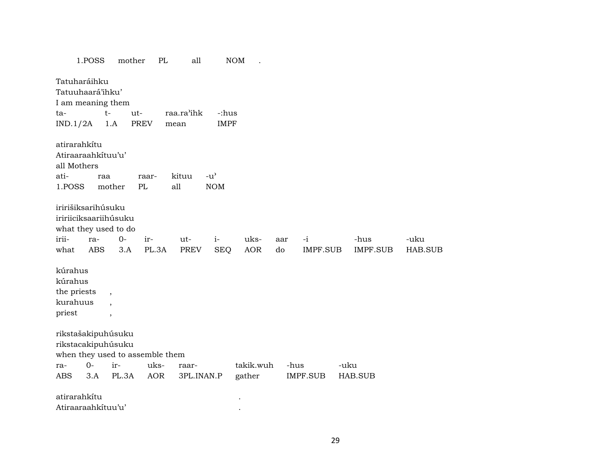|                         | 1.POSS             | mother                   | PL                              | all         |                                     | <b>NOM</b> |      |                 |                 |         |
|-------------------------|--------------------|--------------------------|---------------------------------|-------------|-------------------------------------|------------|------|-----------------|-----------------|---------|
|                         | Tatuharáihku       |                          |                                 |             |                                     |            |      |                 |                 |         |
|                         | Tatuuhaará'ihku'   |                          |                                 |             |                                     |            |      |                 |                 |         |
|                         | I am meaning them  |                          |                                 |             |                                     |            |      |                 |                 |         |
| ta-                     |                    | $t-$<br>ut-              |                                 | raa.ra'ihk  | -:hus                               |            |      |                 |                 |         |
| IND.1/2A                |                    | 1.A                      | PREV                            | mean        | <b>IMPF</b>                         |            |      |                 |                 |         |
|                         |                    |                          |                                 |             |                                     |            |      |                 |                 |         |
|                         | atirarahkítu       |                          |                                 |             |                                     |            |      |                 |                 |         |
|                         | Atiraaraahkituu'u' |                          |                                 |             |                                     |            |      |                 |                 |         |
| all Mothers             |                    |                          |                                 |             |                                     |            |      |                 |                 |         |
| ati-                    | raa                |                          | raar-                           | kituu       | $-u$ <sup><math>\prime</math></sup> |            |      |                 |                 |         |
| 1.POSS                  |                    | mother                   | PL                              | all         | <b>NOM</b>                          |            |      |                 |                 |         |
|                         |                    |                          |                                 |             |                                     |            |      |                 |                 |         |
|                         | iririšiksarihúsuku |                          |                                 |             |                                     |            |      |                 |                 |         |
|                         |                    | iririiciksaariihúsuku    |                                 |             |                                     |            |      |                 |                 |         |
|                         |                    | what they used to do     |                                 |             |                                     |            |      |                 |                 |         |
| irii-                   | ra-                | $0-$                     | ir-                             | ut-         | $i-$                                | uks-       | aar  | $-i$            | -hus            | -uku    |
| what                    | <b>ABS</b>         | 3.A                      | PL.3A                           | <b>PREV</b> | <b>SEQ</b>                          | AOR        | do   | <b>IMPF.SUB</b> | <b>IMPF.SUB</b> | HAB.SUB |
| kúrahus                 |                    |                          |                                 |             |                                     |            |      |                 |                 |         |
| kúrahus                 |                    |                          |                                 |             |                                     |            |      |                 |                 |         |
|                         |                    |                          |                                 |             |                                     |            |      |                 |                 |         |
| the priests<br>kurahuus |                    | $\overline{\phantom{a}}$ |                                 |             |                                     |            |      |                 |                 |         |
| priest                  |                    | $\overline{\phantom{a}}$ |                                 |             |                                     |            |      |                 |                 |         |
|                         |                    | $\, ,$                   |                                 |             |                                     |            |      |                 |                 |         |
|                         | rikstašakipuhúsuku |                          |                                 |             |                                     |            |      |                 |                 |         |
|                         |                    | rikstacakipuhúsuku       |                                 |             |                                     |            |      |                 |                 |         |
|                         |                    |                          | when they used to assemble them |             |                                     |            |      |                 |                 |         |
| ra-                     | $O -$              | ir-                      | uks-                            | raar-       |                                     | takik.wuh  | -hus |                 | -uku            |         |
| <b>ABS</b>              | 3.A                | PL.3A                    | <b>AOR</b>                      | 3PL.INAN.P  |                                     | gather     |      | IMPF.SUB        | HAB.SUB         |         |
|                         |                    |                          |                                 |             |                                     |            |      |                 |                 |         |
|                         | atirarahkítu       |                          |                                 |             |                                     |            |      |                 |                 |         |
|                         | Atiraaraahkítuu'u' |                          |                                 |             |                                     |            |      |                 |                 |         |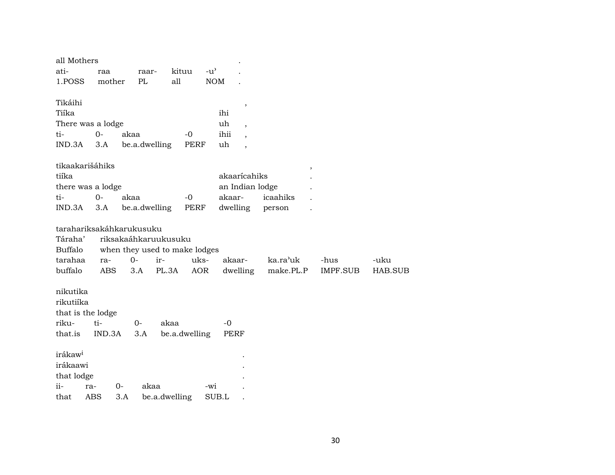| all Mothers              |            |                               |               |               |               |                          |           |                 |         |  |
|--------------------------|------------|-------------------------------|---------------|---------------|---------------|--------------------------|-----------|-----------------|---------|--|
| ati-                     | raa        | raar-                         |               | kituu         | $-u^{\prime}$ |                          |           |                 |         |  |
| 1.POSS                   | mother     | PL                            | all           |               | <b>NOM</b>    |                          |           |                 |         |  |
|                          |            |                               |               |               |               |                          |           |                 |         |  |
| Tikáihi                  |            |                               |               |               |               | ,                        |           |                 |         |  |
| Tiíka                    |            |                               |               |               | ihi           |                          |           |                 |         |  |
| There was a lodge        |            |                               |               |               | uh            | $\overline{\phantom{a}}$ |           |                 |         |  |
| ti-                      | $0-$       | akaa                          |               | $-0$          | ihii          | $\ddot{\phantom{0}}$     |           |                 |         |  |
| IND.3A                   | 3.A        | be.a.dwelling                 |               | <b>PERF</b>   | uh            | $\overline{\phantom{a}}$ |           |                 |         |  |
|                          |            |                               |               |               |               |                          |           |                 |         |  |
| tikaakarišáhiks          |            |                               |               |               |               |                          | $\,$      |                 |         |  |
| tiíka                    |            |                               |               |               |               | akaarícahiks             |           |                 |         |  |
| there was a lodge        |            |                               |               |               |               | an Indian lodge          |           |                 |         |  |
| ti-                      | $0-$       | akaa                          |               | $-0$          | akaar-        |                          | icaahiks  |                 |         |  |
| IND.3A                   | 3.A        | be.a.dwelling                 |               | <b>PERF</b>   | dwelling      |                          | person    |                 |         |  |
|                          |            |                               |               |               |               |                          |           |                 |         |  |
| tarahariksakáhkarukusuku |            |                               |               |               |               |                          |           |                 |         |  |
| Táraha'                  |            | riksakaáhkaruukusuku          |               |               |               |                          |           |                 |         |  |
| Buffalo                  |            | when they used to make lodges |               |               |               |                          |           |                 |         |  |
| tarahaa                  | ra-        | $O -$                         | ir-           | uks-          |               | akaar-                   | ka.ra'uk  | -hus            | -uku    |  |
| buffalo                  | <b>ABS</b> | 3.A                           | PL.3A         | <b>AOR</b>    |               | dwelling                 | make.PL.P | <b>IMPF.SUB</b> | HAB.SUB |  |
|                          |            |                               |               |               |               |                          |           |                 |         |  |
| nikutika                 |            |                               |               |               |               |                          |           |                 |         |  |
| rikutiíka                |            |                               |               |               |               |                          |           |                 |         |  |
| that is the lodge        |            |                               |               |               |               |                          |           |                 |         |  |
| riku-                    | ti-        | $O -$                         | akaa          |               | $-0$          |                          |           |                 |         |  |
| that.is                  | IND.3A     | 3.A                           |               | be.a.dwelling | PERF          |                          |           |                 |         |  |
|                          |            |                               |               |               |               |                          |           |                 |         |  |
| irákaw <sup>i</sup>      |            |                               |               |               |               |                          |           |                 |         |  |
| irákaawi                 |            |                               |               |               |               |                          |           |                 |         |  |
| that lodge               |            |                               |               |               |               |                          |           |                 |         |  |
| ii-                      | ra-        | $0-$                          | akaa          |               | -wi           |                          |           |                 |         |  |
|                          |            |                               |               |               |               |                          |           |                 |         |  |
| that                     | <b>ABS</b> | 3.A                           | be.a.dwelling |               | SUB.L         |                          |           |                 |         |  |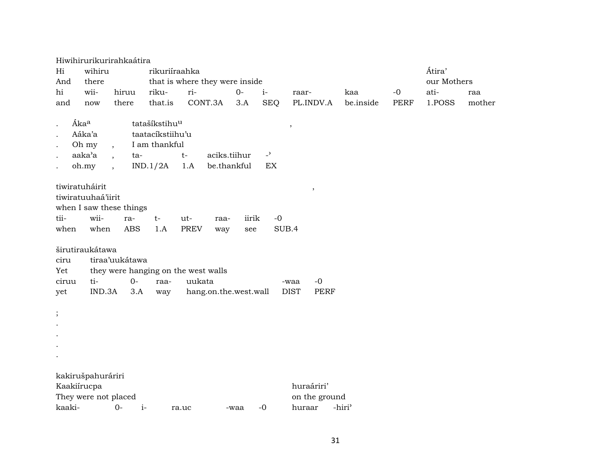|                                |                                             | Hiwihirurikurirahkaátira                         |                                                                |                                                                        |              |                          |                                            |                    |             |             |        |
|--------------------------------|---------------------------------------------|--------------------------------------------------|----------------------------------------------------------------|------------------------------------------------------------------------|--------------|--------------------------|--------------------------------------------|--------------------|-------------|-------------|--------|
| Hi                             | wihiru                                      |                                                  | rikuriíraahka                                                  |                                                                        |              |                          |                                            |                    |             | Átira'      |        |
| And                            | there                                       |                                                  |                                                                | that is where they were inside                                         |              |                          |                                            |                    |             | our Mothers |        |
| hi                             | wii-                                        | hiruu                                            | riku-                                                          | ri-                                                                    | $O -$        | $i-$                     | raar-                                      | kaa                | $-0$        | ati-        | raa    |
| and                            | now                                         | there                                            | that.is                                                        | CONT.3A                                                                | 3.A          | <b>SEQ</b>               | PL.INDV.A                                  | be.inside          | <b>PERF</b> | 1.POSS      | mother |
|                                | Ákaa<br>Aáka'a<br>Oh my<br>aaka'a           | $\overline{\phantom{a}}$<br>ta-                  | tatašíkstihu <sup>u</sup><br>taatacíkstiihu'u<br>I am thankful | aciks.tiihur<br>$t-$                                                   |              | $\overline{\phantom{a}}$ | $\overline{\phantom{a}}$                   |                    |             |             |        |
| tiwiratuháirit<br>tii-<br>when | oh.my<br>tiwiratuuhaá'iirit<br>wii-<br>when | $\cdot$<br>when I saw these things<br>ra-<br>ABS | IND.1/2A<br>$t-$<br>1.A                                        | 1.A<br>be.thankful<br>ut-<br>raa-<br><b>PREV</b><br>way                | iirik<br>see | EX<br>$-0$<br>SUB.4      | $\,$                                       |                    |             |             |        |
| ciru<br>Yet<br>ciruu<br>yet    | širutiraukátawa<br>ti-<br>IND.3A            | tiraa'uukátawa<br>$O -$<br>3.A                   | raa-<br>way                                                    | they were hanging on the west walls<br>uukata<br>hang.on.the.west.wall |              |                          | $-0$<br>-waa<br><b>DIST</b><br><b>PERF</b> |                    |             |             |        |
| $\vdots$                       |                                             |                                                  |                                                                |                                                                        |              |                          |                                            |                    |             |             |        |
| Kaakiírucpa<br>kaaki-          | kakirušpahuráriri<br>They were not placed   | $O -$                                            | $i-$                                                           | ra.uc                                                                  | -waa         | $-0$                     | huraáriri'<br>on the ground<br>huraar      | -hiri <sup>3</sup> |             |             |        |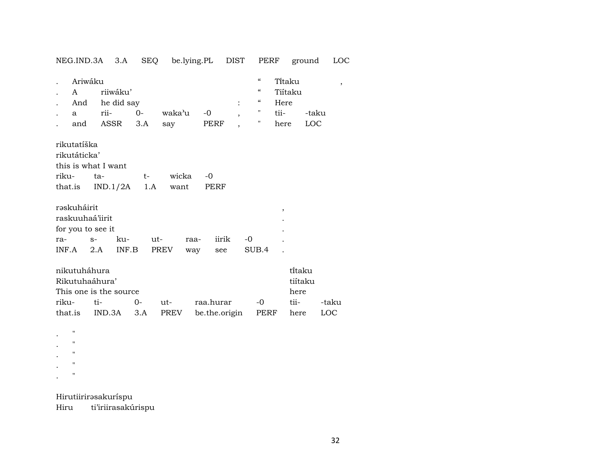| NEG.IND.3A 3.A                                                                    |               | <b>SEQ</b>                            |                      | be.lying.PL        | DIST                | PERF                                                                                                                                      | ground                                      | <b>LOC</b>   |
|-----------------------------------------------------------------------------------|---------------|---------------------------------------|----------------------|--------------------|---------------------|-------------------------------------------------------------------------------------------------------------------------------------------|---------------------------------------------|--------------|
| Ariwáku<br>A<br>And<br>a<br>and                                                   | rii-<br>ASSR  | riiwáku'<br>he did say<br>$0-$<br>3.A | waka'u<br>say        | $-0$<br>PERF       | $\ddot{\cdot}$<br>, | $\boldsymbol{\zeta}\boldsymbol{\zeta}$<br>$\boldsymbol{\zeta}\boldsymbol{\zeta}$<br>$\epsilon\epsilon$<br>Here<br>11<br>tii-<br>"<br>here | Titaku<br>Tiítaku<br>-taku<br>LOC           | $\,$         |
| rikutatíška<br>rikutáticka'<br>this is what I want<br>riku-<br>that.is            | ta-           | $t-$<br>IND.1/2A                      | wicka<br>1.A<br>want | $-0$<br>PERF       |                     |                                                                                                                                           |                                             |              |
| rəskuháirit<br>raskuuhaá'iirit<br>for you to see it<br>ra-<br>INF.A               | $S-$<br>2.A   | ku-<br>INF.B                          | ut-<br>PREV          | raa-<br>way<br>see | iirik<br>$-0$       | $\, ,$<br>SUB.4                                                                                                                           |                                             |              |
| nikutuháhura<br>Rikutuhaáhura'<br>This one is the source<br>riku-<br>that.is<br>п | ti-<br>IND.3A | $O -$<br>3.A                          | ut-<br>PREV          | raa.hurar          | be.the.origin       | $-0$<br>PERF                                                                                                                              | ti̇̃taku<br>tiítaku<br>here<br>tii-<br>here | -taku<br>LOC |
| п<br>$\blacksquare$<br>п                                                          |               |                                       |                      |                    |                     |                                                                                                                                           |                                             |              |

Hirutiirirəsakuríspu

 $\mathcal{L}^{\pm}$  $\mathbb{R}^{\mathbb{Z}^2}$  $\sim$   $\,$ 

Hiru ti'iriirasakúrispu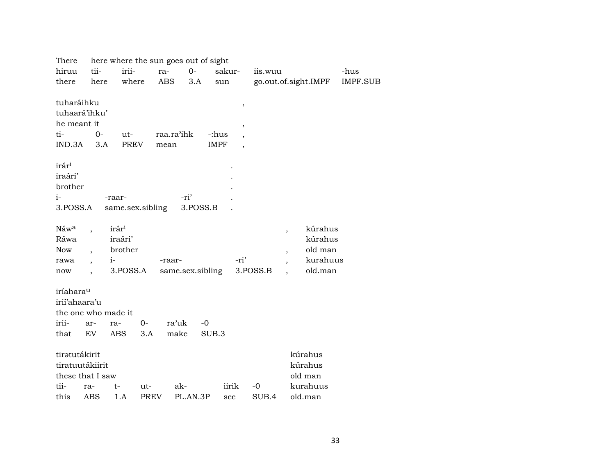| There             |                              |                   |             | here where the sun goes out of sight |                          |          |                                     |          |
|-------------------|------------------------------|-------------------|-------------|--------------------------------------|--------------------------|----------|-------------------------------------|----------|
| hiruu             | tii-                         | irii-             | ra-         | $O-$                                 | sakur-                   | iis.wuu  |                                     | -hus     |
| there             | here                         | where             | ABS         | 3.A                                  | sun                      |          | go.out.of.sight.IMPF                | IMPF.SUB |
|                   |                              |                   |             |                                      |                          |          |                                     |          |
| tuharáihku        |                              |                   |             |                                      | $\, ,$                   |          |                                     |          |
| tuhaará'ihku'     |                              |                   |             |                                      |                          |          |                                     |          |
| he meant it       |                              |                   |             |                                      | $\, ,$                   |          |                                     |          |
| ti-               | $0-$                         | ut-               | raa.ra'ihk  | -:hus                                | $\overline{\phantom{a}}$ |          |                                     |          |
| IND.3A            | 3.A                          | <b>PREV</b>       | mean        | <b>IMPF</b>                          | $\overline{\phantom{a}}$ |          |                                     |          |
|                   |                              |                   |             |                                      |                          |          |                                     |          |
| irár <sup>i</sup> |                              |                   |             |                                      |                          |          |                                     |          |
| iraári'           |                              |                   |             |                                      |                          |          |                                     |          |
| brother           |                              |                   |             |                                      |                          |          |                                     |          |
| i-                |                              | -raar-            |             | -ri'                                 |                          |          |                                     |          |
| 3.POSS.A          |                              | same.sex.sibling  |             | 3.POSS.B                             |                          |          |                                     |          |
|                   |                              |                   |             |                                      |                          |          |                                     |          |
| Náwa              |                              | irár <sup>i</sup> |             |                                      |                          |          | kúrahus<br>$\overline{ }$           |          |
| Ráwa              |                              | iraári'           |             |                                      |                          |          | kúrahus                             |          |
| <b>Now</b>        | $\ddot{\phantom{a}}$         | brother           |             |                                      |                          |          | old man<br>$\cdot$                  |          |
| rawa              | $i-$<br>$\ddot{\phantom{0}}$ |                   | -raar-      |                                      | -ri'                     |          | kurahuus                            |          |
| now               | $\overline{\phantom{a}}$     | 3.POSS.A          |             | same.sex.sibling                     |                          | 3.POSS.B | old.man<br>$\overline{\phantom{a}}$ |          |
|                   |                              |                   |             |                                      |                          |          |                                     |          |
| iríaharau         |                              |                   |             |                                      |                          |          |                                     |          |
| irií'ahaara'u     |                              |                   |             |                                      |                          |          |                                     |          |
|                   | the one who made it          |                   |             |                                      |                          |          |                                     |          |
| irii-             | ar-                          | 0-<br>ra-         | ra'uk       | $-0$                                 |                          |          |                                     |          |
| that              | EV                           | <b>ABS</b>        | make<br>3.A | SUB.3                                |                          |          |                                     |          |
|                   |                              |                   |             |                                      |                          |          |                                     |          |
| tiratutákirit     |                              |                   |             |                                      |                          |          | kúrahus                             |          |
| tiratuutákiirit   |                              |                   |             |                                      |                          |          | kúrahus                             |          |
|                   | these that I saw             |                   |             |                                      |                          |          | old man                             |          |
| tii-              | ra-                          | t-                | ut-         | ak-                                  | iirik                    | $-0$     | kurahuus                            |          |
| this              | ABS                          | 1.A               | <b>PREV</b> | PL.AN.3P                             | see                      | SUB.4    | old.man                             |          |
|                   |                              |                   |             |                                      |                          |          |                                     |          |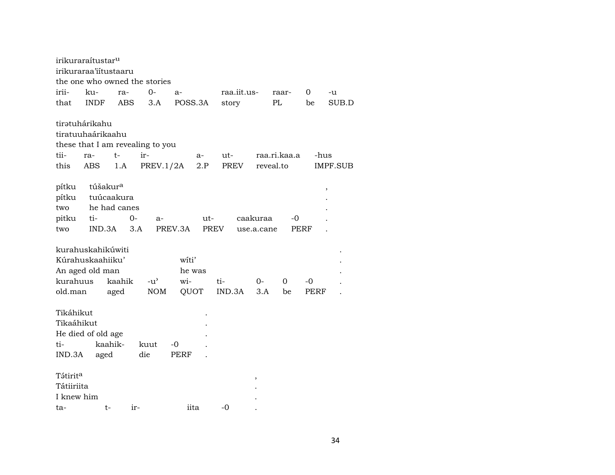|                                                         | irikuraraítustar <sup>u</sup>                            |                                         |                                                      |                                |                    |               |                        |                           |             |          |
|---------------------------------------------------------|----------------------------------------------------------|-----------------------------------------|------------------------------------------------------|--------------------------------|--------------------|---------------|------------------------|---------------------------|-------------|----------|
|                                                         | irikuraraa'iítustaaru                                    |                                         |                                                      |                                |                    |               |                        |                           |             |          |
|                                                         |                                                          |                                         | the one who owned the stories                        |                                |                    |               |                        |                           |             |          |
| irii-                                                   | ku-                                                      | ra-                                     | $0-$                                                 | a-                             |                    | raa.iit.us-   |                        | raar-                     | 0           | -u       |
| that                                                    | <b>INDF</b>                                              | ABS                                     | 3.A                                                  | POSS.3A                        |                    | story         |                        | PL                        | be          | SUB.D    |
| tii-<br>this                                            | tiratuhárikahu<br>tiratuuhaárikaahu<br>ra-<br>ABS        | $t-$<br>1.A                             | these that I am revealing to you<br>ir-<br>PREV.1/2A |                                | a-<br>2.P          | ut-<br>PREV   |                        | raa.ri.kaa.a<br>reveal.to | -hus        | IMPF.SUB |
| pítku<br>pítku<br>two<br>pitku<br>two                   | túšakur <sup>a</sup><br>ti-<br>IND.3A                    | tuúcaakura<br>he had canes<br>0-<br>3.A | $a-$                                                 | PREV.3A                        | ut-<br><b>PREV</b> |               | caakuraa<br>use.a.cane | -0                        | <b>PERF</b> | ,        |
| kurahuus<br>old.man                                     | kurahuskahikúwiti<br>Kúrahuskaahiiku'<br>An aged old man | kaahik<br>aged                          | $-u^{\prime}$<br><b>NOM</b>                          | witi'<br>he was<br>wi-<br>QUOT |                    | ti-<br>IND.3A | 0-<br>3.A              | 0<br>be                   | -0<br>PERF  |          |
| Tikáhikut<br>Tikaáhikut<br>ti-<br>IND.3A                | He died of old age<br>aged                               | kaahik-                                 | kuut<br>die                                          | -0<br>PERF                     |                    |               |                        |                           |             |          |
| Tətirit <sup>a</sup><br>Tátiiriita<br>I knew him<br>ta- | t-                                                       | ir-                                     |                                                      | iita                           |                    | -0            | ,                      |                           |             |          |
|                                                         |                                                          |                                         |                                                      |                                |                    |               |                        |                           |             |          |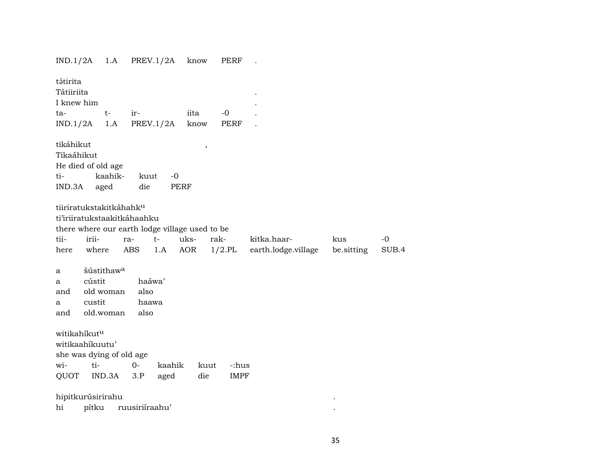IND.1/2A 1.A PREV.1/2A know PERF .

| tátirita<br>Tátiiriita                                         |                  |                                     |                             |                     |                                                |             |                     |            |       |
|----------------------------------------------------------------|------------------|-------------------------------------|-----------------------------|---------------------|------------------------------------------------|-------------|---------------------|------------|-------|
| I knew him                                                     |                  |                                     |                             |                     |                                                |             |                     |            |       |
| ta-                                                            |                  | $t-$                                | $ir-$                       |                     | iita                                           | $-0$        |                     |            |       |
| IND.1/2A                                                       |                  | 1.A                                 | PREV.1/2A                   |                     | know                                           | PERF        |                     |            |       |
| tikáhikut<br>Tikaáhikut<br>He died of old age<br>ti-<br>IND.3A |                  | kaahik-<br>aged                     | kuut<br>die                 | $-0$<br><b>PERF</b> | $\, ,$                                         |             |                     |            |       |
|                                                                |                  | tiiriratukstakitkáhahk <sup>u</sup> |                             |                     |                                                |             |                     |            |       |
|                                                                |                  |                                     | ti'iriiratukstaakitkáhaahku |                     |                                                |             |                     |            |       |
|                                                                |                  |                                     |                             |                     | there where our earth lodge village used to be |             |                     |            |       |
| tii-                                                           | irii-            |                                     | ra-                         | $t-$                | uks-                                           | rak-        | kitka.haar-         | kus        | $-0$  |
| here                                                           | where            |                                     | ABS                         | 1.A                 | AOR                                            | $1/2$ .PL   | earth.lodge.village | be.sitting | SUB.4 |
| a<br>a<br>and<br>a                                             | cústit<br>custit | šústithaw <sup>a</sup><br>old woman | haáwa'<br>also<br>haawa     |                     |                                                |             |                     |            |       |
| and                                                            |                  | old.woman                           | also                        |                     |                                                |             |                     |            |       |
| witikahíkut <sup>u</sup><br>witikaahíkuutu'                    |                  | she was dying of old age            |                             |                     |                                                |             |                     |            |       |
| wi-                                                            | ti-              |                                     | $0-$                        | kaahik              | kuut                                           | -:hus       |                     |            |       |
| QUOT                                                           |                  | IND.3A                              | 3.P                         | aged                | die                                            | <b>IMPF</b> |                     |            |       |
| hipitkurúsirirahu                                              |                  |                                     |                             |                     |                                                |             |                     |            |       |
| hi                                                             | pítku            |                                     | ruusiriíraahu'              |                     |                                                |             |                     |            |       |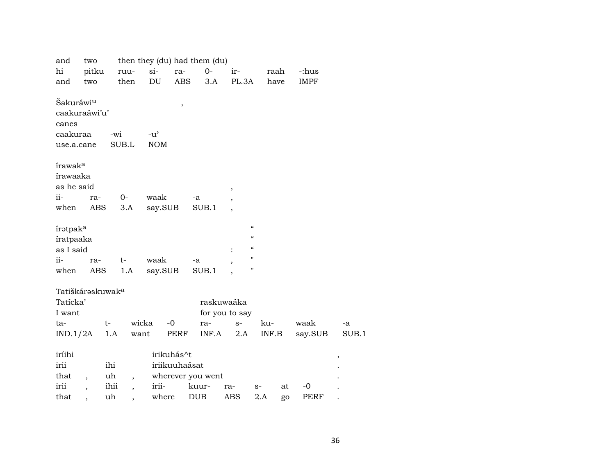| two |                                                                                                                                                                                      |                                                                   |                                                                                                                     |                                                                                                                               |                                                                   |                                                                                                                         |                                              |                             |                          |                                                         |
|-----|--------------------------------------------------------------------------------------------------------------------------------------------------------------------------------------|-------------------------------------------------------------------|---------------------------------------------------------------------------------------------------------------------|-------------------------------------------------------------------------------------------------------------------------------|-------------------------------------------------------------------|-------------------------------------------------------------------------------------------------------------------------|----------------------------------------------|-----------------------------|--------------------------|---------------------------------------------------------|
|     |                                                                                                                                                                                      |                                                                   |                                                                                                                     | $0-$                                                                                                                          | ir-                                                               |                                                                                                                         |                                              |                             |                          |                                                         |
| two |                                                                                                                                                                                      |                                                                   |                                                                                                                     |                                                                                                                               |                                                                   |                                                                                                                         |                                              |                             |                          |                                                         |
|     |                                                                                                                                                                                      |                                                                   |                                                                                                                     |                                                                                                                               |                                                                   |                                                                                                                         |                                              |                             |                          |                                                         |
|     |                                                                                                                                                                                      |                                                                   |                                                                                                                     |                                                                                                                               |                                                                   |                                                                                                                         |                                              |                             |                          |                                                         |
|     |                                                                                                                                                                                      |                                                                   |                                                                                                                     |                                                                                                                               |                                                                   |                                                                                                                         |                                              |                             |                          |                                                         |
|     |                                                                                                                                                                                      |                                                                   |                                                                                                                     |                                                                                                                               |                                                                   |                                                                                                                         |                                              |                             |                          |                                                         |
|     | -wi                                                                                                                                                                                  |                                                                   |                                                                                                                     |                                                                                                                               |                                                                   |                                                                                                                         |                                              |                             |                          |                                                         |
|     |                                                                                                                                                                                      |                                                                   |                                                                                                                     |                                                                                                                               |                                                                   |                                                                                                                         |                                              |                             |                          |                                                         |
|     |                                                                                                                                                                                      |                                                                   |                                                                                                                     |                                                                                                                               |                                                                   |                                                                                                                         |                                              |                             |                          |                                                         |
|     |                                                                                                                                                                                      |                                                                   |                                                                                                                     |                                                                                                                               |                                                                   |                                                                                                                         |                                              |                             |                          |                                                         |
|     |                                                                                                                                                                                      |                                                                   |                                                                                                                     |                                                                                                                               |                                                                   |                                                                                                                         |                                              |                             |                          |                                                         |
|     |                                                                                                                                                                                      |                                                                   |                                                                                                                     |                                                                                                                               |                                                                   |                                                                                                                         |                                              |                             |                          |                                                         |
|     |                                                                                                                                                                                      |                                                                   |                                                                                                                     | -a                                                                                                                            |                                                                   |                                                                                                                         |                                              |                             |                          |                                                         |
|     |                                                                                                                                                                                      |                                                                   |                                                                                                                     | SUB.1                                                                                                                         |                                                                   |                                                                                                                         |                                              |                             |                          |                                                         |
|     |                                                                                                                                                                                      |                                                                   |                                                                                                                     |                                                                                                                               |                                                                   |                                                                                                                         |                                              |                             |                          |                                                         |
|     |                                                                                                                                                                                      |                                                                   |                                                                                                                     |                                                                                                                               |                                                                   | $\mathcal{C}$                                                                                                           |                                              |                             |                          |                                                         |
|     |                                                                                                                                                                                      |                                                                   |                                                                                                                     |                                                                                                                               |                                                                   | $\pmb{\mathcal{U}}$                                                                                                     |                                              |                             |                          |                                                         |
|     |                                                                                                                                                                                      |                                                                   |                                                                                                                     |                                                                                                                               |                                                                   | $\boldsymbol{\mathcal{C}}$                                                                                              |                                              |                             |                          |                                                         |
|     |                                                                                                                                                                                      |                                                                   |                                                                                                                     | -a                                                                                                                            |                                                                   | $\pmb{\mathsf{H}}$                                                                                                      |                                              |                             |                          |                                                         |
|     |                                                                                                                                                                                      |                                                                   |                                                                                                                     |                                                                                                                               |                                                                   | $\pmb{\mathsf{H}}$                                                                                                      |                                              |                             |                          |                                                         |
|     |                                                                                                                                                                                      |                                                                   |                                                                                                                     |                                                                                                                               |                                                                   |                                                                                                                         |                                              |                             |                          |                                                         |
|     |                                                                                                                                                                                      |                                                                   |                                                                                                                     |                                                                                                                               |                                                                   |                                                                                                                         |                                              |                             |                          |                                                         |
|     |                                                                                                                                                                                      |                                                                   |                                                                                                                     |                                                                                                                               |                                                                   |                                                                                                                         |                                              |                             |                          |                                                         |
|     |                                                                                                                                                                                      |                                                                   |                                                                                                                     |                                                                                                                               |                                                                   |                                                                                                                         |                                              |                             |                          |                                                         |
|     |                                                                                                                                                                                      |                                                                   |                                                                                                                     |                                                                                                                               | $S-$                                                              |                                                                                                                         |                                              |                             |                          | -a                                                      |
|     |                                                                                                                                                                                      |                                                                   |                                                                                                                     |                                                                                                                               |                                                                   |                                                                                                                         |                                              |                             |                          | SUB.1                                                   |
|     |                                                                                                                                                                                      |                                                                   |                                                                                                                     |                                                                                                                               |                                                                   |                                                                                                                         |                                              |                             |                          |                                                         |
|     |                                                                                                                                                                                      |                                                                   |                                                                                                                     |                                                                                                                               |                                                                   |                                                                                                                         |                                              |                             |                          |                                                         |
|     | ihi                                                                                                                                                                                  |                                                                   |                                                                                                                     |                                                                                                                               |                                                                   |                                                                                                                         |                                              |                             |                          |                                                         |
|     | uh                                                                                                                                                                                   |                                                                   |                                                                                                                     |                                                                                                                               |                                                                   |                                                                                                                         |                                              |                             |                          |                                                         |
|     | ihii                                                                                                                                                                                 | $\overline{\phantom{a}}$                                          |                                                                                                                     | kuur-                                                                                                                         | ra-                                                               |                                                                                                                         |                                              | $-0$                        |                          |                                                         |
|     | uh                                                                                                                                                                                   |                                                                   |                                                                                                                     | <b>DUB</b>                                                                                                                    | <b>ABS</b>                                                        |                                                                                                                         |                                              |                             |                          |                                                         |
|     | Šakuráwi <sup>u</sup><br>caakuraa<br>use.a.cane<br>írawak <sup>a</sup><br>írawaaka<br>as he said<br>iratpak <sup>a</sup><br>íratpaaka<br>as I said<br>Tatícka'<br>I want<br>IND.1/2A | pitku<br>caakuraáwi'u'<br>ra-<br>ABS<br>ra-<br>ABS<br>$t-$<br>1.A | ruu-<br>then<br>SUB.L<br>0-<br>3.A<br>t-<br>1.A<br>Tatiškáraskuwak <sup>a</sup><br>want<br>$\overline{\phantom{a}}$ | $si-$<br>DU<br>$\, ,$<br>$-u^{\prime}$<br><b>NOM</b><br>waak<br>say.SUB<br>waak<br>say.SUB<br>wicka<br>$-0$<br>irii-<br>where | ra-<br>ABS<br>SUB.1<br>ra-<br>PERF<br>irikuhás^t<br>iriikuuhaásat | then they (du) had them (du)<br>3.A<br>$\,$<br>$\overline{\phantom{a}}$<br>$\ddot{\cdot}$<br>INF.A<br>wherever you went | PL.3A<br>raskuwaáka<br>for you to say<br>2.A | ku-<br>INF.B<br>$S-$<br>2.A | raah<br>have<br>at<br>go | -:hus<br><b>IMPF</b><br>waak<br>say.SUB<br>$\,$<br>PERF |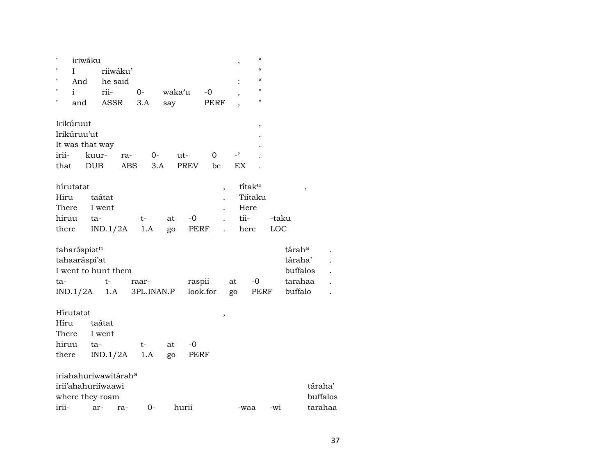| н     | iriwáku         |                                  |            |        |             |        |                          | $\mathcal{C}\mathcal{C}$ |       |          |          |  |
|-------|-----------------|----------------------------------|------------|--------|-------------|--------|--------------------------|--------------------------|-------|----------|----------|--|
| п     | L               | riiwáku'                         |            |        |             |        |                          | $\epsilon$               |       |          |          |  |
| П     | And             | he said                          |            |        |             |        |                          | $\mathcal{C}$            |       |          |          |  |
| п     | i               | rii-                             | $O -$      | waka'u |             | $-0$   |                          | $\mathbf{H}$             |       |          |          |  |
| 11    | and             | <b>ASSR</b>                      | 3.A        | say    |             | PERF   |                          | $\pmb{\mathsf{H}}$       |       |          |          |  |
|       | Irikúruut       |                                  |            |        |             |        |                          | ,                        |       |          |          |  |
|       | Irikúruu'ut     |                                  |            |        |             |        |                          |                          |       |          |          |  |
|       | It was that way |                                  |            |        |             |        |                          |                          |       |          |          |  |
| irii- |                 | kuur-<br>ra-                     | 0-         |        | ut-         | 0      | $\overline{\phantom{0}}$ |                          |       |          |          |  |
| that  |                 | <b>DUB</b><br><b>ABS</b>         | 3.A        |        | <b>PREV</b> | be     | EX                       |                          |       |          |          |  |
|       | hírutatat       |                                  |            |        |             |        |                          | titak <sup>u</sup>       |       |          |          |  |
| Hiru  |                 | taátat                           |            |        |             | $\, ,$ |                          | Tiítaku                  |       | $\, ,$   |          |  |
| There |                 | I went                           |            |        |             |        |                          | Here                     |       |          |          |  |
| hiruu |                 | ta-                              | t-         | at     | -0          |        | tii-                     |                          | -taku |          |          |  |
| there |                 | IND.1/2A                         | 1.A        | go     | PERF        |        |                          | here                     | LOC   |          |          |  |
|       | taharáspiatn    |                                  |            |        |             |        |                          |                          |       | táraha   |          |  |
|       | tahaaráspi'at   |                                  |            |        |             |        |                          |                          |       | táraha'  |          |  |
|       |                 | I went to hunt them              |            |        |             |        |                          |                          |       | buffalos |          |  |
| ta-   |                 | t-                               | raar-      |        | raspii      |        | at                       | $-0$                     |       | tarahaa  |          |  |
|       | IND.1/2A        | 1.A                              | 3PL.INAN.P |        | look.for    |        | go                       | PERF                     |       | buffalo  |          |  |
|       |                 |                                  |            |        |             |        |                          |                          |       |          |          |  |
|       | Hírutatat       |                                  |            |        |             | $\, ,$ |                          |                          |       |          |          |  |
| Híru  |                 | taátat                           |            |        |             |        |                          |                          |       |          |          |  |
| There |                 | I went                           |            |        |             |        |                          |                          |       |          |          |  |
| hiruu |                 | ta-                              | t-         | at     | -0          |        |                          |                          |       |          |          |  |
| there |                 | IND.1/2A                         | 1.A        | go     | PERF        |        |                          |                          |       |          |          |  |
|       |                 | iriahahuriwawitárah <sup>a</sup> |            |        |             |        |                          |                          |       |          |          |  |
|       |                 | irii'ahahuriiwaawi               |            |        |             |        |                          |                          |       |          | táraha'  |  |
|       |                 | where they roam                  |            |        |             |        |                          |                          |       |          | buffalos |  |
| irii- |                 | ar-<br>ra-                       | $0-$       |        | hurii       |        |                          | -waa                     | -wi   |          | tarahaa  |  |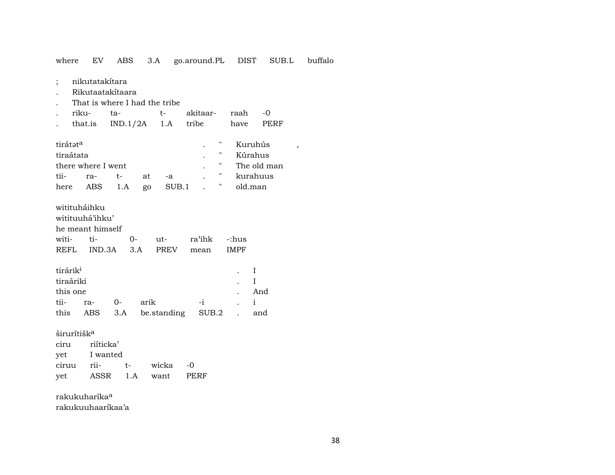where EV 3.A go.around.PL buffalo ABS DIST SUB.L

- nikutatakítara  $\vdots$
- Rikutaatakítaara  $\cdot$
- That is where I had the tribe

|  | . riku- ta-   t- akitaar- raah -0      |  |  |
|--|----------------------------------------|--|--|
|  | . that.is IND.1/2A 1.A tribe have PERF |  |  |

| tirátat <sup>a</sup> |                    |       |  |                                    | Kuruhús                           |
|----------------------|--------------------|-------|--|------------------------------------|-----------------------------------|
| tiraátata            |                    |       |  | $\sim$ $\sim$ $\sim$ $\sim$        | Kúrahus                           |
|                      | there where I went |       |  | $\sim$ $\sim$ $\sim$ $\sim$ $\sim$ | The old man                       |
|                      | tii- ra- t-        | at -a |  |                                    | e la la kurahuus (kurahuus        |
|                      |                    |       |  |                                    | here ABS 1.A go SUB.1 . " old.man |

| witituháihku         |                               |  |  |           |  |  |  |  |  |  |  |
|----------------------|-------------------------------|--|--|-----------|--|--|--|--|--|--|--|
| witituuhá'ihku'      |                               |  |  |           |  |  |  |  |  |  |  |
|                      | he meant himself              |  |  |           |  |  |  |  |  |  |  |
|                      | witi- ti- 0- ut- ra'ihk -:hus |  |  |           |  |  |  |  |  |  |  |
|                      | REFL IND.3A 3.A PREV          |  |  | mean IMPF |  |  |  |  |  |  |  |
|                      |                               |  |  |           |  |  |  |  |  |  |  |
| tirárik <sup>i</sup> |                               |  |  |           |  |  |  |  |  |  |  |

| <b>ULL CLL LLY</b> |       |                                 |      |                                    |
|--------------------|-------|---------------------------------|------|------------------------------------|
| tiraáriki          |       |                                 |      |                                    |
| this one           |       |                                 |      | And                                |
| tii- ra-           | $0 -$ | arik                            | $-i$ | $\sim$ $\sim$ $\sim$ $\sim$ $\sim$ |
|                    |       | this ABS 3.A be.standing SUB.2. |      | and                                |

širurítišk<sup>a</sup>

| ciru  | riíticka' |      |       |      |
|-------|-----------|------|-------|------|
| vet   | I wanted  |      |       |      |
| ciruu | rii-      | $t-$ | wicka | -0   |
| vet   | ASSR      | 1.A  | want  | PERF |

rakukuharíka<sup>a</sup> rakukuuhaaríkaa'a  $\,$  ,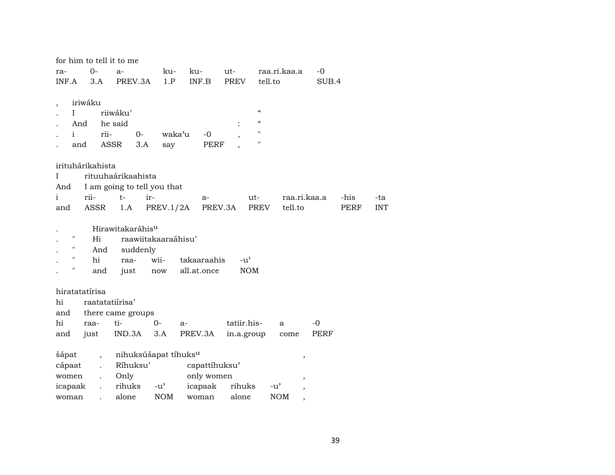| for him to tell it to me            |                                              |                             |                          |              |       |            |
|-------------------------------------|----------------------------------------------|-----------------------------|--------------------------|--------------|-------|------------|
| $0-$<br>ra-                         | ku-<br>$a-$                                  | ku-                         | ut-                      | raa.ri.kaa.a | $-0$  |            |
| INF.A<br>3.A                        | PREV.3A                                      | 1.P<br>INF.B                | PREV                     | tell.to      | SUB.4 |            |
|                                     |                                              |                             |                          |              |       |            |
| iriwáku<br>$\overline{\phantom{a}}$ |                                              |                             |                          |              |       |            |
| L                                   | riiwáku'                                     |                             | $\pmb{\zeta}\pmb{\zeta}$ |              |       |            |
| And                                 | he said                                      |                             | $\pmb{\zeta}\pmb{\zeta}$ |              |       |            |
| i.<br>rii-                          | $O-$                                         | waka <sup>3</sup> u<br>$-0$ | $\pmb{\mathsf{H}}$       |              |       |            |
| ASSR<br>and                         | 3.A<br>say                                   | PERF                        | $\pmb{\mathsf{H}}$       |              |       |            |
| irituhárikahista                    |                                              |                             |                          |              |       |            |
| Ι                                   | rituuhaárikaahista                           |                             |                          |              |       |            |
| And                                 | I am going to tell you that                  |                             |                          |              |       |            |
| $\mathbf{i}$<br>rii-                | $t-$<br>ir-                                  | a-                          | ut-                      | raa.ri.kaa.a | -his  | -ta        |
| and<br>ASSR                         | 1.A                                          | PREV.1/2A PREV.3A           | PREV                     | tell.to      | PERF  | <b>INT</b> |
|                                     |                                              |                             |                          |              |       |            |
|                                     | Hirawitakaráhis <sup>u</sup>                 |                             |                          |              |       |            |
| н<br>Hi                             | raawiitakaaraáhisu'                          |                             |                          |              |       |            |
| 11<br>And                           | suddenly                                     |                             |                          |              |       |            |
| 11<br>hi                            | wii-<br>raa-                                 | takaaraahis                 | $-u^{\prime}$            |              |       |            |
| and                                 | now<br>just                                  | all.at.once                 | <b>NOM</b>               |              |       |            |
|                                     |                                              |                             |                          |              |       |            |
| hiratatatírisa                      |                                              |                             |                          |              |       |            |
| raatatatiírisa'<br>hi               |                                              |                             |                          |              |       |            |
| and                                 | there came groups                            |                             |                          |              |       |            |
| hi<br>raa-                          | ti-<br>$0-$                                  | $a-$                        | tatiir.his-              | a            | $-0$  |            |
| and<br>just                         | IND.3A<br>3.A                                | PREV.3A                     | in.a.group               | come         | PERF  |            |
|                                     |                                              |                             |                          |              |       |            |
| šápat<br>$\overline{ }$ ,           | nihuksúšapat tíhuks <sup>u</sup><br>Ríhuksu' |                             |                          |              |       |            |
| cápaat<br>$\ddot{\phantom{a}}$      |                                              | capattíhuksu'               |                          |              |       |            |
| women<br>$\ddot{\phantom{0}}$       | Only                                         | only women                  |                          |              |       |            |
| icapaak<br>$\ddot{\phantom{0}}$     | rihuks -u'                                   | icapaak                     | rihuks                   | $-u'$        |       |            |
| woman<br>$\mathbf{r}$               | <b>NOM</b><br>alone                          | woman                       | alone                    | <b>NOM</b>   |       |            |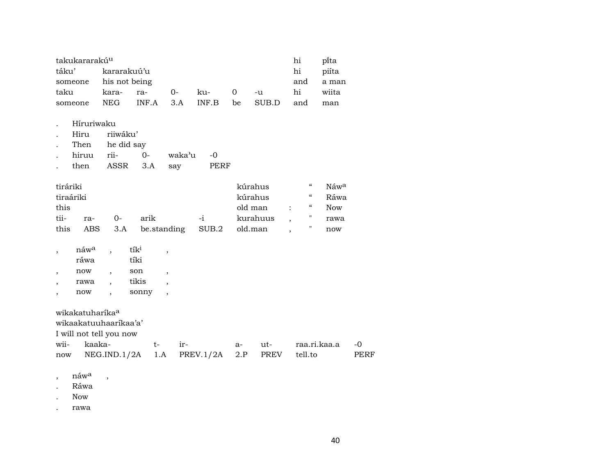| takukararakú <sup>u</sup> | hi        | pi̇̃ta     |          |       |         |       |     |       |
|---------------------------|-----------|------------|----------|-------|---------|-------|-----|-------|
| kararakuú'u<br>táku'      | hi        | piíta      |          |       |         |       |     |       |
| someone his not being     |           | and        | a man    |       |         |       |     |       |
| taku                      | kara- ra- |            | $\Omega$ | ku-   | $0 - u$ |       | hi  | wiita |
| someone                   | NEG       | $INFA$ 3.A |          | INF B | be      | SUB.D | and | man   |

- . Híruriwaku
- . Hiru riiwáku'
- . Then he did say
- . hiruu rii- 0- waka"u -0
- . then ASSR 3.A say PERF

| tiráriki  |     |    |                       |      | kúrahus  |                         | -66        | Náw <sup>a</sup> |
|-----------|-----|----|-----------------------|------|----------|-------------------------|------------|------------------|
| tiraáriki |     |    |                       |      | kúrahus  |                         | $\epsilon$ | Ráwa             |
| this      |     |    |                       |      | old man  | $\sim 100$ km s $^{-1}$ | $\epsilon$ | <b>Now</b>       |
| tii-      | ra- | () | arik                  | $-1$ | kurahuus |                         |            | rawa             |
| this      | ABS |    | 3.A be.standing SUB.2 |      | old.man  |                         |            | now              |

| náw <sup>a</sup> | $t_1$ k <sup>1</sup> |  |
|------------------|----------------------|--|
| ráwa             | tíki                 |  |
| now              | son                  |  |
| rawa             | tikis                |  |
| now              | sonny                |  |

wikakatuharíka°

| wikaakatuuhaaríkaa'a'                           |  |  |                        |      |
|-------------------------------------------------|--|--|------------------------|------|
| I will not tell you now                         |  |  |                        |      |
| wii- kaaka-   t- ir-                            |  |  | a- ut- raa.ri.kaa.a -0 |      |
| now NEG.IND.1/2A 1.A PREV.1/2A 2.P PREV tell.to |  |  |                        | PERF |

- $,$  náw $^a$  ,
- . Ráwa

. Now

. rawa